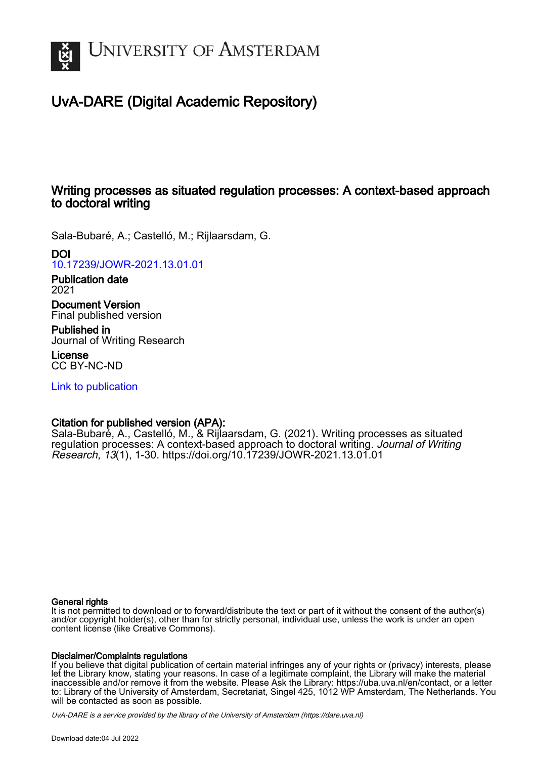

# UvA-DARE (Digital Academic Repository)

# Writing processes as situated regulation processes: A context-based approach to doctoral writing

Sala-Bubaré, A.; Castelló, M.; Rijlaarsdam, G.

# DOI

[10.17239/JOWR-2021.13.01.01](https://doi.org/10.17239/JOWR-2021.13.01.01)

Publication date 2021

Document Version Final published version

Published in Journal of Writing Research

License CC BY-NC-ND

[Link to publication](https://dare.uva.nl/personal/pure/en/publications/writing-processes-as-situated-regulation-processes-a-contextbased-approach-to-doctoral-writing(29199e93-e75b-4870-9b28-8a4d9c677527).html)

# Citation for published version (APA):

Sala-Bubaré, A., Castelló, M., & Rijlaarsdam, G. (2021). Writing processes as situated regulation processes: A context-based approach to doctoral writing. Journal of Writing Research, 13(1), 1-30.<https://doi.org/10.17239/JOWR-2021.13.01.01>

## General rights

It is not permitted to download or to forward/distribute the text or part of it without the consent of the author(s) and/or copyright holder(s), other than for strictly personal, individual use, unless the work is under an open content license (like Creative Commons).

## Disclaimer/Complaints regulations

If you believe that digital publication of certain material infringes any of your rights or (privacy) interests, please let the Library know, stating your reasons. In case of a legitimate complaint, the Library will make the material inaccessible and/or remove it from the website. Please Ask the Library: https://uba.uva.nl/en/contact, or a letter to: Library of the University of Amsterdam, Secretariat, Singel 425, 1012 WP Amsterdam, The Netherlands. You will be contacted as soon as possible.

UvA-DARE is a service provided by the library of the University of Amsterdam (http*s*://dare.uva.nl)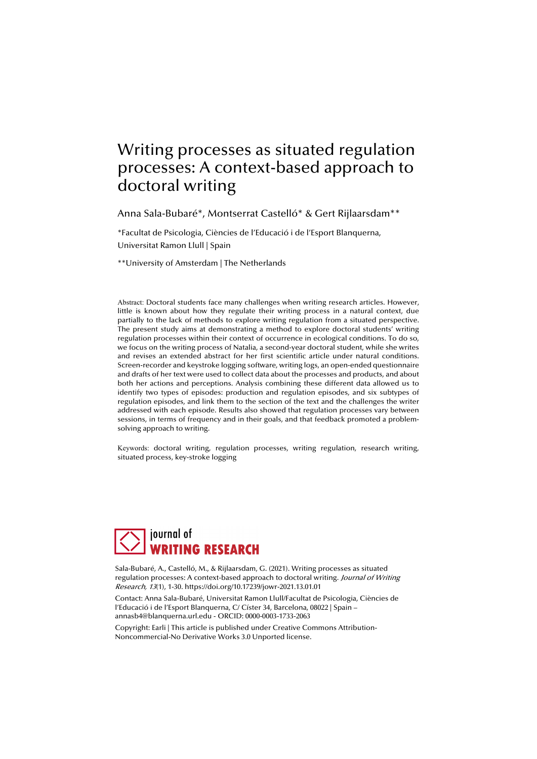# Writing processes as situated regulation processes: A context-based approach to doctoral writing

Anna Sala-Bubaré\*, Montserrat Castelló\* & Gert Rijlaarsdam\*\*

\*Facultat de Psicologia, Ciències de l'Educació i de l'Esport Blanquerna, Universitat Ramon Llull | Spain

\*\*University of Amsterdam | The Netherlands

Abstract: Doctoral students face many challenges when writing research articles. However, little is known about how they regulate their writing process in a natural context, due partially to the lack of methods to explore writing regulation from a situated perspective. The present study aims at demonstrating a method to explore doctoral students' writing regulation processes within their context of occurrence in ecological conditions. To do so, we focus on the writing process of Natalia, a second-year doctoral student, while she writes and revises an extended abstract for her first scientific article under natural conditions. Screen-recorder and keystroke logging software, writing logs, an open-ended questionnaire and drafts of her text were used to collect data about the processes and products, and about both her actions and perceptions. Analysis combining these different data allowed us to identify two types of episodes: production and regulation episodes, and six subtypes of regulation episodes, and link them to the section of the text and the challenges the writer addressed with each episode. Results also showed that regulation processes vary between sessions, in terms of frequency and in their goals, and that feedback promoted a problemsolving approach to writing.

Keywords: doctoral writing, regulation processes, writing regulation, research writing, situated process, key-stroke logging



Sala-Bubaré, A., Castelló, M., & Rijlaarsdam, G. (2021). Writing processes as situated regulation processes: A context-based approach to doctoral writing. Journal of Writing Research, 13(1), 1-30. https://doi.org/10.17239/jowr-2021.13.01.01

Contact: Anna Sala-Bubaré, Universitat Ramon Llull/Facultat de Psicologia, Ciències de l'Educació i de l'Esport Blanquerna, C/ Císter 34, Barcelona, 08022 | Spain – annasb4@blanquerna.url.edu - ORCID: 0000-0003-1733-2063

Copyright: Earli | This article is published under Creative Commons Attribution-Noncommercial-No Derivative Works 3.0 Unported license.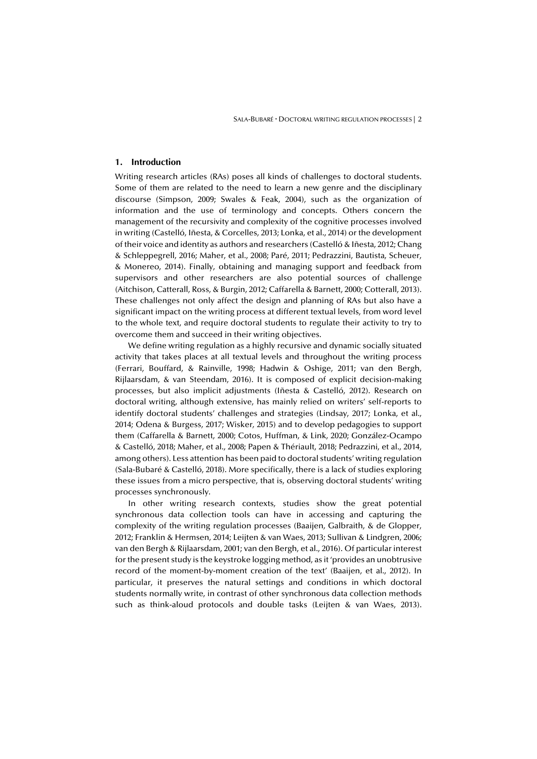#### **1. Introduction**

Writing research articles (RAs) poses all kinds of challenges to doctoral students. Some of them are related to the need to learn a new genre and the disciplinary discourse (Simpson, 2009; Swales & Feak, 2004), such as the organization of information and the use of terminology and concepts. Others concern the management of the recursivity and complexity of the cognitive processes involved in writing (Castelló, Iñesta, & Corcelles, 2013; Lonka, et al., 2014) or the development of their voice and identity as authors and researchers (Castelló & Iñesta, 2012; Chang & Schleppegrell, 2016; Maher, et al., 2008; Paré, 2011; Pedrazzini, Bautista, Scheuer, & Monereo, 2014). Finally, obtaining and managing support and feedback from supervisors and other researchers are also potential sources of challenge (Aitchison, Catterall, Ross, & Burgin, 2012; Caffarella & Barnett, 2000; Cotterall, 2013). These challenges not only affect the design and planning of RAs but also have a significant impact on the writing process at different textual levels, from word level to the whole text, and require doctoral students to regulate their activity to try to overcome them and succeed in their writing objectives.

We define writing regulation as a highly recursive and dynamic socially situated activity that takes places at all textual levels and throughout the writing process (Ferrari, Bouffard, & Rainville, 1998; Hadwin & Oshige, 2011; van den Bergh, Rijlaarsdam, & van Steendam, 2016). It is composed of explicit decision-making processes, but also implicit adjustments (Iñesta & Castelló, 2012). Research on doctoral writing, although extensive, has mainly relied on writers' self-reports to identify doctoral students' challenges and strategies (Lindsay, 2017; Lonka, et al., 2014; Odena & Burgess, 2017; Wisker, 2015) and to develop pedagogies to support them (Caffarella & Barnett, 2000; Cotos, Huffman, & Link, 2020; González-Ocampo & Castelló, 2018; Maher, et al., 2008; Papen & Thériault, 2018; Pedrazzini, et al., 2014, among others). Less attention has been paid to doctoral students' writing regulation (Sala-Bubaré & Castelló, 2018). More specifically, there is a lack of studies exploring these issues from a micro perspective, that is, observing doctoral students' writing processes synchronously.

In other writing research contexts, studies show the great potential synchronous data collection tools can have in accessing and capturing the complexity of the writing regulation processes (Baaijen, Galbraith, & de Glopper, 2012; Franklin & Hermsen, 2014; Leijten & van Waes, 2013; Sullivan & Lindgren, 2006; van den Bergh & Rijlaarsdam, 2001; van den Bergh, et al., 2016). Of particular interest for the present study is the keystroke logging method, as it 'provides an unobtrusive record of the moment-by-moment creation of the text' (Baaijen, et al., 2012). In particular, it preserves the natural settings and conditions in which doctoral students normally write, in contrast of other synchronous data collection methods such as think-aloud protocols and double tasks (Leijten & van Waes, 2013).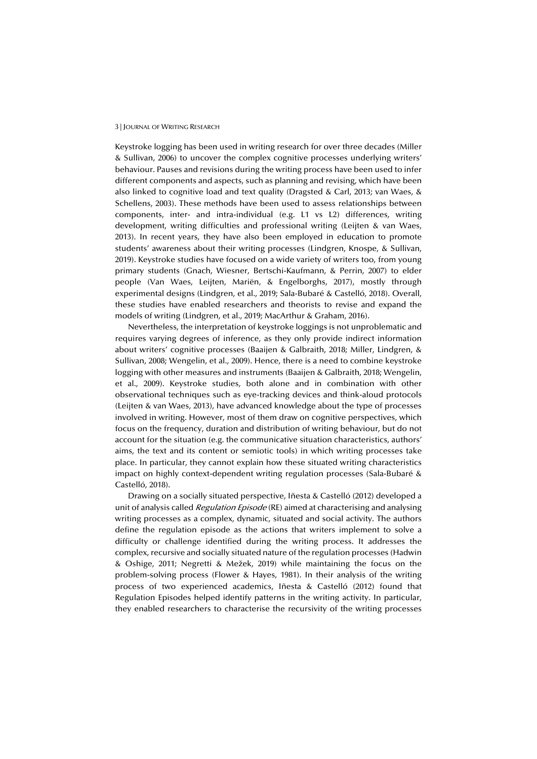Keystroke logging has been used in writing research for over three decades (Miller & Sullivan, 2006) to uncover the complex cognitive processes underlying writers' behaviour. Pauses and revisions during the writing process have been used to infer different components and aspects, such as planning and revising, which have been also linked to cognitive load and text quality (Dragsted & Carl, 2013; van Waes, & Schellens, 2003). These methods have been used to assess relationships between components, inter- and intra-individual (e.g. L1 vs L2) differences, writing development, writing difficulties and professional writing (Leijten & van Waes, 2013). In recent years, they have also been employed in education to promote students' awareness about their writing processes (Lindgren, Knospe, & Sullivan, 2019). Keystroke studies have focused on a wide variety of writers too, from young primary students (Gnach, Wiesner, Bertschi-Kaufmann, & Perrin, 2007) to elder people (Van Waes, Leijten, Mariën, & Engelborghs, 2017), mostly through experimental designs (Lindgren, et al., 2019; Sala-Bubaré & Castelló, 2018). Overall, these studies have enabled researchers and theorists to revise and expand the models of writing (Lindgren, et al., 2019; MacArthur & Graham, 2016).

Nevertheless, the interpretation of keystroke loggings is not unproblematic and requires varying degrees of inference, as they only provide indirect information about writers' cognitive processes (Baaijen & Galbraith, 2018; Miller, Lindgren, & Sullivan, 2008; Wengelin, et al., 2009). Hence, there is a need to combine keystroke logging with other measures and instruments (Baaijen & Galbraith, 2018; Wengelin, et al., 2009). Keystroke studies, both alone and in combination with other observational techniques such as eye-tracking devices and think-aloud protocols (Leijten & van Waes, 2013), have advanced knowledge about the type of processes involved in writing. However, most of them draw on cognitive perspectives, which focus on the frequency, duration and distribution of writing behaviour, but do not account for the situation (e.g. the communicative situation characteristics, authors' aims, the text and its content or semiotic tools) in which writing processes take place. In particular, they cannot explain how these situated writing characteristics impact on highly context-dependent writing regulation processes (Sala-Bubaré & Castelló, 2018).

Drawing on a socially situated perspective, Iñesta & Castelló (2012) developed a unit of analysis called *Regulation Episode* (RE) aimed at characterising and analysing writing processes as a complex, dynamic, situated and social activity. The authors define the regulation episode as the actions that writers implement to solve a difficulty or challenge identified during the writing process. It addresses the complex, recursive and socially situated nature of the regulation processes (Hadwin & Oshige, 2011; Negretti & Mežek, 2019) while maintaining the focus on the problem-solving process (Flower & Hayes, 1981). In their analysis of the writing process of two experienced academics, Iñesta & Castelló (2012) found that Regulation Episodes helped identify patterns in the writing activity. In particular, they enabled researchers to characterise the recursivity of the writing processes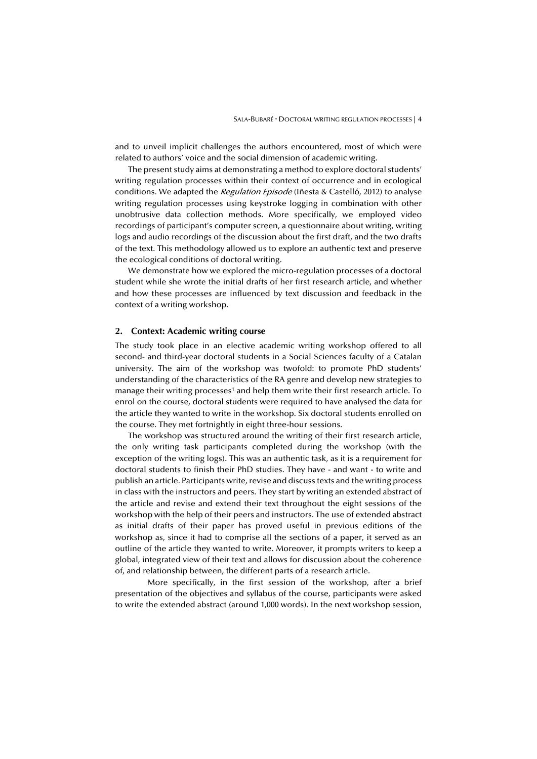and to unveil implicit challenges the authors encountered, most of which were related to authors' voice and the social dimension of academic writing.

The present study aims at demonstrating a method to explore doctoral students' writing regulation processes within their context of occurrence and in ecological conditions. We adapted the Regulation Episode (Iñesta & Castelló, 2012) to analyse writing regulation processes using keystroke logging in combination with other unobtrusive data collection methods. More specifically, we employed video recordings of participant's computer screen, a questionnaire about writing, writing logs and audio recordings of the discussion about the first draft, and the two drafts of the text. This methodology allowed us to explore an authentic text and preserve the ecological conditions of doctoral writing.

We demonstrate how we explored the micro-regulation processes of a doctoral student while she wrote the initial drafts of her first research article, and whether and how these processes are influenced by text discussion and feedback in the context of a writing workshop.

#### **2. Context: Academic writing course**

The study took place in an elective academic writing workshop offered to all second- and third-year doctoral students in a Social Sciences faculty of a Catalan university. The aim of the workshop was twofold: to promote PhD students' understanding of the characteristics of the RA genre and develop new strategies to manage their writing processes<sup>1</sup> and help them write their first research article. To enrol on the course, doctoral students were required to have analysed the data for the article they wanted to write in the workshop. Six doctoral students enrolled on the course. They met fortnightly in eight three-hour sessions.

The workshop was structured around the writing of their first research article, the only writing task participants completed during the workshop (with the exception of the writing logs). This was an authentic task, as it is a requirement for doctoral students to finish their PhD studies. They have - and want - to write and publish an article. Participants write, revise and discuss texts and the writing process in class with the instructors and peers. They start by writing an extended abstract of the article and revise and extend their text throughout the eight sessions of the workshop with the help of their peers and instructors. The use of extended abstract as initial drafts of their paper has proved useful in previous editions of the workshop as, since it had to comprise all the sections of a paper, it served as an outline of the article they wanted to write. Moreover, it prompts writers to keep a global, integrated view of their text and allows for discussion about the coherence of, and relationship between, the different parts of a research article.

 More specifically, in the first session of the workshop, after a brief presentation of the objectives and syllabus of the course, participants were asked to write the extended abstract (around 1,000 words). In the next workshop session,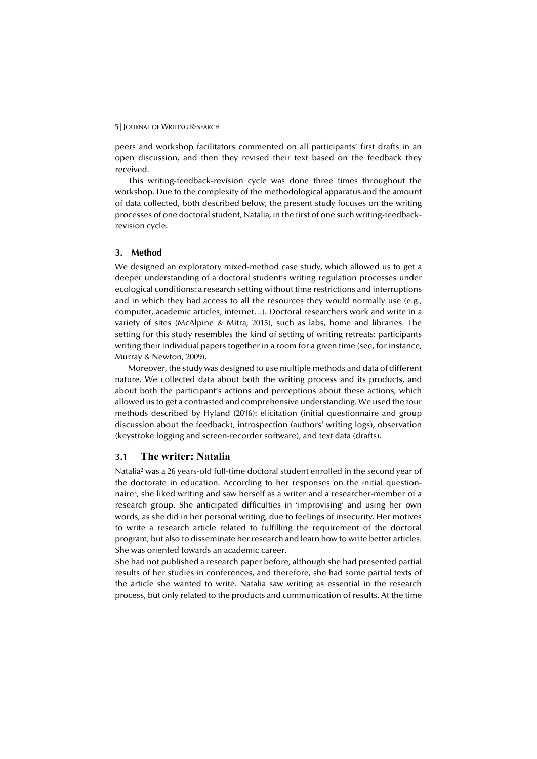peers and workshop facilitators commented on all participants' first drafts in an open discussion, and then they revised their text based on the feedback they received.

This writing-feedback-revision cycle was done three times throughout the workshop. Due to the complexity of the methodological apparatus and the amount of data collected, both described below, the present study focuses on the writing processes of one doctoral student, Natalia, in the first of one such writing-feedbackrevision cycle.

#### **3. Method**

We designed an exploratory mixed-method case study, which allowed us to get a deeper understanding of a doctoral student's writing regulation processes under ecological conditions: a research setting without time restrictions and interruptions and in which they had access to all the resources they would normally use (e.g., computer, academic articles, internet…). Doctoral researchers work and write in a variety of sites (McAlpine & Mitra, 2015), such as labs, home and libraries. The setting for this study resembles the kind of setting of writing retreats: participants writing their individual papers together in a room for a given time (see, for instance, Murray & Newton, 2009).

Moreover, the study was designed to use multiple methods and data of different nature. We collected data about both the writing process and its products, and about both the participant's actions and perceptions about these actions, which allowed us to get a contrasted and comprehensive understanding. We used the four methods described by Hyland (2016): elicitation (initial questionnaire and group discussion about the feedback), introspection (authors' writing logs), observation (keystroke logging and screen-recorder software), and text data (drafts).

#### **3.1 The writer: Natalia**

Natalia2 was a 26 years-old full-time doctoral student enrolled in the second year of the doctorate in education. According to her responses on the initial questionnaire3, she liked writing and saw herself as a writer and a researcher-member of a research group. She anticipated difficulties in 'improvising' and using her own words, as she did in her personal writing, due to feelings of insecurity. Her motives to write a research article related to fulfilling the requirement of the doctoral program, but also to disseminate her research and learn how to write better articles. She was oriented towards an academic career.

She had not published a research paper before, although she had presented partial results of her studies in conferences, and therefore, she had some partial texts of the article she wanted to write. Natalia saw writing as essential in the research process, but only related to the products and communication of results. At the time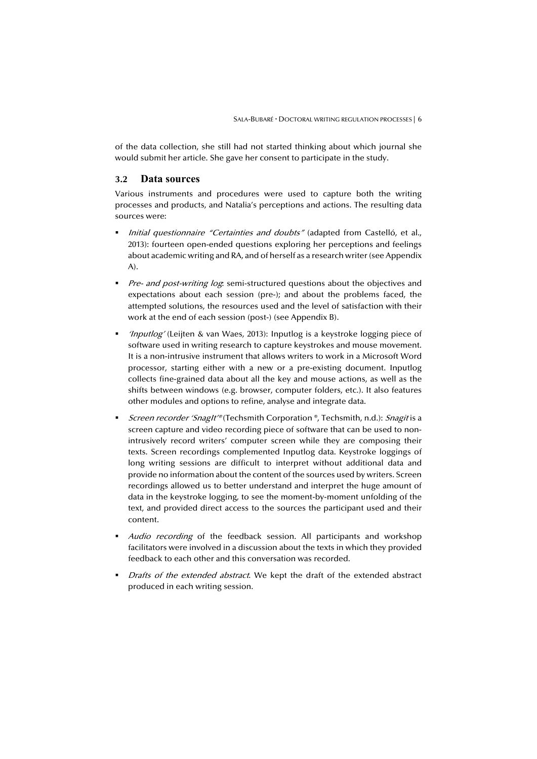of the data collection, she still had not started thinking about which journal she would submit her article. She gave her consent to participate in the study.

#### **3.2 Data sources**

Various instruments and procedures were used to capture both the writing processes and products, and Natalia's perceptions and actions. The resulting data sources were:

- Initial questionnaire "Certainties and doubts" (adapted from Castelló, et al., 2013): fourteen open-ended questions exploring her perceptions and feelings about academic writing and RA, and of herself as a research writer (see Appendix A).
- Pre- and post-writing log: semi-structured questions about the objectives and expectations about each session (pre-); and about the problems faced, the attempted solutions, the resources used and the level of satisfaction with their work at the end of each session (post-) (see Appendix B).
- 'Inputlog' (Leijten & van Waes, 2013): Inputlog is a keystroke logging piece of software used in writing research to capture keystrokes and mouse movement. It is a non-intrusive instrument that allows writers to work in a Microsoft Word processor, starting either with a new or a pre-existing document. Inputlog collects fine-grained data about all the key and mouse actions, as well as the shifts between windows (e.g. browser, computer folders, etc.). It also features other modules and options to refine, analyse and integrate data.
- Screen recorder 'SnagIt'® (Techsmith Corporation ®, Techsmith, n.d.): Snagit is a screen capture and video recording piece of software that can be used to nonintrusively record writers' computer screen while they are composing their texts. Screen recordings complemented Inputlog data. Keystroke loggings of long writing sessions are difficult to interpret without additional data and provide no information about the content of the sources used by writers. Screen recordings allowed us to better understand and interpret the huge amount of data in the keystroke logging, to see the moment-by-moment unfolding of the text, and provided direct access to the sources the participant used and their content.
- Audio recording of the feedback session. All participants and workshop facilitators were involved in a discussion about the texts in which they provided feedback to each other and this conversation was recorded.
- Drafts of the extended abstract. We kept the draft of the extended abstract produced in each writing session.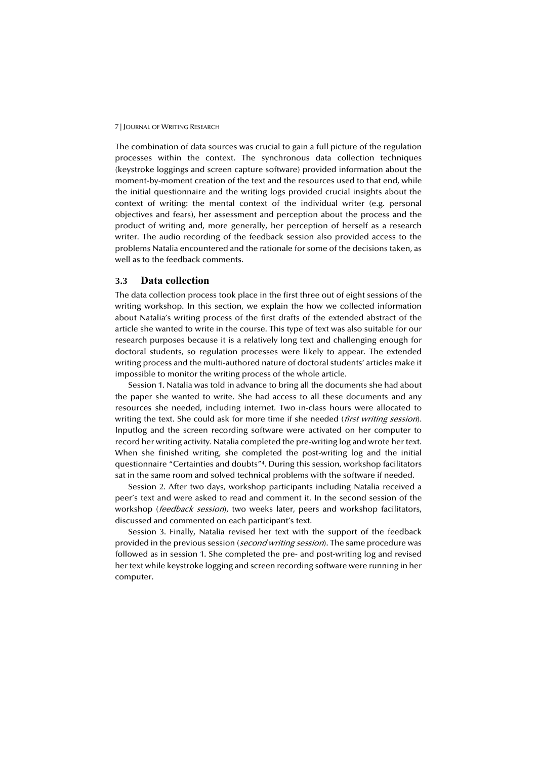The combination of data sources was crucial to gain a full picture of the regulation processes within the context. The synchronous data collection techniques (keystroke loggings and screen capture software) provided information about the moment-by-moment creation of the text and the resources used to that end, while the initial questionnaire and the writing logs provided crucial insights about the context of writing: the mental context of the individual writer (e.g. personal objectives and fears), her assessment and perception about the process and the product of writing and, more generally, her perception of herself as a research writer. The audio recording of the feedback session also provided access to the problems Natalia encountered and the rationale for some of the decisions taken, as well as to the feedback comments.

#### **3.3 Data collection**

The data collection process took place in the first three out of eight sessions of the writing workshop. In this section, we explain the how we collected information about Natalia's writing process of the first drafts of the extended abstract of the article she wanted to write in the course. This type of text was also suitable for our research purposes because it is a relatively long text and challenging enough for doctoral students, so regulation processes were likely to appear. The extended writing process and the multi-authored nature of doctoral students' articles make it impossible to monitor the writing process of the whole article.

Session 1. Natalia was told in advance to bring all the documents she had about the paper she wanted to write. She had access to all these documents and any resources she needed, including internet. Two in-class hours were allocated to writing the text. She could ask for more time if she needed (first writing session). Inputlog and the screen recording software were activated on her computer to record her writing activity. Natalia completed the pre-writing log and wrote her text. When she finished writing, she completed the post-writing log and the initial questionnaire "Certainties and doubts"4. During this session, workshop facilitators sat in the same room and solved technical problems with the software if needed.

Session 2. After two days, workshop participants including Natalia received a peer's text and were asked to read and comment it. In the second session of the workshop (feedback session), two weeks later, peers and workshop facilitators, discussed and commented on each participant's text.

Session 3. Finally, Natalia revised her text with the support of the feedback provided in the previous session (*second writing session*). The same procedure was followed as in session 1. She completed the pre- and post-writing log and revised her text while keystroke logging and screen recording software were running in her computer.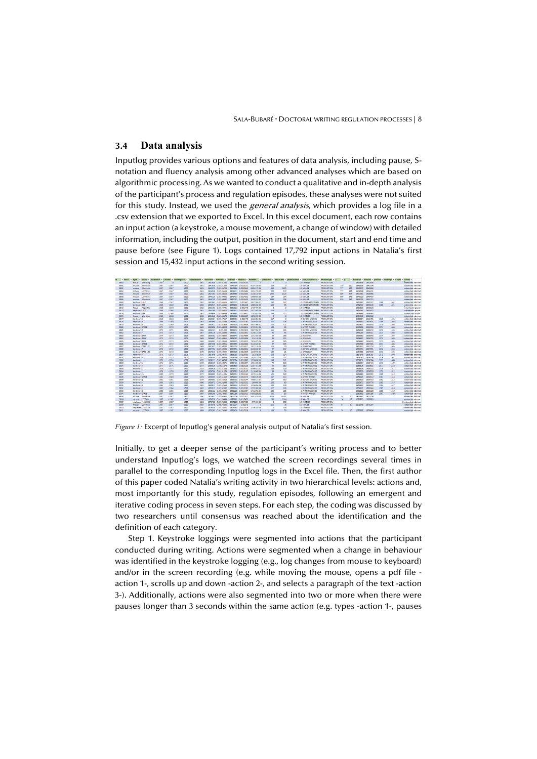#### **3.4 Data analysis**

Inputlog provides various options and features of data analysis, including pause, Snotation and fluency analysis among other advanced analyses which are based on algorithmic processing. As we wanted to conduct a qualitative and in-depth analysis of the participant's process and regulation episodes, these analyses were not suited for this study. Instead, we used the *general analysis*, which provides a log file in a .csv extension that we exported to Excel. In this excel document, each row contains an input action (a keystroke, a mouse movement, a change of window) with detailed information, including the output, position in the document, start and end time and pause before (see Figure 1). Logs contained 17,792 input actions in Natalia's first session and 15,432 input actions in the second writing session.

| $=$ Part1 | <b>v</b> type         |                            |      |         |             |      |         |                                      |         |                   |                               |            |         | v catput v poshiceFul v Column] v dociengthFul v charProduction v startTime v startTime v startTice v endClock v startTice v startTice v actionTime v pauseTime v pauseTime v pauseTime v pauseCocationFul v RevisionType v x |                          | V   |                 |            |         |      | - Rendstari - Rending - position - decleraget - Colum | Colum               |
|-----------|-----------------------|----------------------------|------|---------|-------------|------|---------|--------------------------------------|---------|-------------------|-------------------------------|------------|---------|-------------------------------------------------------------------------------------------------------------------------------------------------------------------------------------------------------------------------------|--------------------------|-----|-----------------|------------|---------|------|-------------------------------------------------------|---------------------|
| 5860      | focus.                | Wordlog                    | 1367 |         | 1600<br>c   | 1861 |         | 1841638 0.02131525                   |         | 1841638 0.0213158 |                               |            |         | 10 CHANGE                                                                                                                                                                                                                     | <b><i>PRODUCTION</i></b> |     |                 | 1841638    | 1841638 |      |                                                       | extended abstract   |
| 5861      | mouse                 | Movemer                    | 1367 | $-1367$ | 1600        | 1861 |         | 1841638 0.02131525                   |         |                   | 1841794 0.0213171 4.20718E-05 | 156        |         | 16 MOUSE                                                                                                                                                                                                                      | <b>PRODUCTION</b>        | 750 | 511             | 1841638    | 1841794 |      |                                                       | extended abstract   |
| 5862      | mouse                 | Movemer                    | 1367 | $-1367$ | 1600        | 1861 |         | 1845273 0.02135755                   |         | 1845866 0.0215642 | 8.85417E-06                   | 593        | 3472    | 16 MOUSE                                                                                                                                                                                                                      | <b>FRODUCTION</b>        | 777 | 615             | 1845273    | 1845866 |      |                                                       | extended abstract   |
| 5565      | mouse                 | LEFT Cites                 | 1367 | $-1567$ | 1600        | 1861 |         | 1846038 0.02136618                   |         | 1846241 0.0213685 | 1.554728-05                   | 203        | 372     | <b>16 MOUSE</b>                                                                                                                                                                                                               | <b>FRODUCTION</b>        | m   | 615             | 1846038    | 1846241 |      |                                                       | extended abstract   |
| 5865      | mouse                 | Movemer                    | 1367 | $-1367$ | 1600        | 1861 |         | 1847364 0.02138153                   |         | 1848986 0.0214003 | 2.14815F-05                   | 1622       | 1123    | 16 MOUSE                                                                                                                                                                                                                      | <b><i>FRODUCTION</i></b> | 869 | 549             | 1847364    | 1848986 |      |                                                       | extended abstract   |
| 5866      | mouse                 | LEFT Click                 | 1367 | $-1367$ | 1600        | 1861 |         | 1849220 0.02140301                   |         | 1849407 0.0214052 | 5.96065E-06                   | 187        | 234     | 16 MOUSE                                                                                                                                                                                                                      | <b><i>FRODUCTION</i></b> | 869 | 549             | 1849220    | 1849407 |      |                                                       | extended abstract   |
| 5868      |                       | mouse Movemer              | 1367 | $-1367$ | 1600        | 1861 |         | 1849735 0.02140897                   |         |                   | 1852715 0.0214435 3.61921E-05 | 2980       | 328     | 16 MOUSE                                                                                                                                                                                                                      | <b>PRODUCTION</b>        | 839 | 560             | 1849735    | 1852715 |      |                                                       | extended abstract   |
| 5549      | <b>keyboard LALT</b>  |                            | 1568 | $-1567$ | 1601        | 1862 |         | 1852862 0.02144516                   | 1855022 |                   | 0.021447 9.85796E-07          | 160        | 147     | 12 COMBINATION KEY PRODUCTION                                                                                                                                                                                                 |                          |     |                 | 1852862    | 1855022 | 1568 | 1601                                                  | extended abstract   |
| 5870      | <b>keyboard TAB</b>   |                            | 1368 | $-1368$ | 1601        | 1862 |         | 1852947 0.02144615                   | 1853103 | 0.021448          | 1.805568-06                   | 156        | 85      | 12 COMMINATION KEY PRODUCTION                                                                                                                                                                                                 |                          |     |                 | 1852947    | 1853103 | 1368 | 1601                                                  | extended abstract   |
| 5872      | focus                 | PaperNor                   | 1368 | $-1368$ | 1601        | 1862 |         | 1853103 0.02144795                   | 1853103 | 0.021448          | 1,45949E-05                   | <b>DO</b>  |         | <b>10 CHANGE</b>                                                                                                                                                                                                              | <b><i>FRODUCTION</i></b> |     |                 | 1853103    | 1853103 |      |                                                       | new model paper     |
| 5873      | <b>Reyboard LALT</b>  |                            | 1368 | $+1368$ | 1601        | 1862 |         | 1854364 0.02146255                   |         | 1854613 0.0214654 | 1,41204E-06                   | 249        |         | 12 COMPUTATION KEY, PRODUCTION                                                                                                                                                                                                |                          |     |                 | 1854364    | 1854613 |      |                                                       | new model paper     |
| 5874      | keyboard TAB          |                            | 1368 | $-1568$ | 1601        | 1862 |         | 1854486 0.02146396                   |         |                   | 1854640 0.0214657 1.78241E-06 | 154        | 122     | 12 COMBINATION KEY PRODUCTION                                                                                                                                                                                                 |                          |     |                 | 1854486    | 1854640 |      |                                                       | new model paper     |
| 5876      |                       | focus Wordlor              | 1368 | $-1568$ | 1601        | 1862 |         | 1854640 0.02146574                   |         | 1854640 0.0214657 | 1.092598-05                   | $^{\circ}$ | ٠       | 10 CHANGE                                                                                                                                                                                                                     | <b>FRODUCTION</b>        |     |                 | 1854640    | 1854640 |      |                                                       | extended abstract   |
| 5877      | keyboard!             |                            | 1368 | $-1368$ | 1601        | 1862 |         | 1855584 0.02147667                   |         |                   | 1855701 0.021478 1.22685E-06  | 117        | $\circ$ | 2 BEFORE WORDS                                                                                                                                                                                                                | <b><i>FRODUCTION</i></b> |     |                 | 1855584    | 1855701 | 1368 | 1601                                                  | extended abstract   |
| 5878      | keyboard h            |                            | 1369 | $-1368$ | 1602        | 1863 |         | 1855690 0.02147789                   |         | 1855801 0.0214792 | 1.40046E-06                   | 111        | 105     | 1 WITHIN WORDS                                                                                                                                                                                                                | <b><i>PRODUCTION</i></b> |     |                 | 1855690    | 1855801 | 1369 | 1602                                                  | extended abstract   |
| 5879      | keyboard e            |                            | 1370 | $-1369$ | 1603        | 1864 |         | 1855811 0.02147929                   |         |                   | 1855928 0.0214806 9.83796E-07 | 117        | 121     | 1 WITHIN WORDS                                                                                                                                                                                                                | <b>PRODUCTION</b>        |     |                 | 1855811    | 1855928 | 1570 | 1603                                                  | extended abstract   |
| 5880      | keyboard SPACE        |                            | 1571 | $-1570$ | 1604        | 1865 |         | 1855896 0.02148028                   |         | 1855996 0.0214814 | 2.719915-06                   | 100        | gs.     | 3 AFTER WORDS                                                                                                                                                                                                                 | <b>FRODUCTION</b>        |     |                 | 1855896    | 1855996 | 1571 | 1604                                                  | extended abstract   |
| 5881      | keyboard p            |                            | 1372 | $-1371$ | 1605        | 1866 | 1856111 | 0.021483                             |         |                   | 1856242 0.0214843 9.83796E-07 | 111        | 235     | 2 BEFORE WORDS                                                                                                                                                                                                                | <b>FRODUCTION</b>        |     |                 | 1856131    | 1856242 | 1372 | 1605                                                  | extended abstract   |
| 5882      | keyboards             |                            | 1373 | $-1372$ | 1606        | 1867 |         | 1856216 0.02148358                   |         | 1856311 0.0214851 | 4.23611E-06                   | 95         | 85      | 1 WITHIN WORDS                                                                                                                                                                                                                | <b><i>PRODUCTION</i></b> |     |                 | 1856216    | 1856311 | 1373 | 1606                                                  | extended abstract   |
| 5883      | <b>keyboard BACK</b>  |                            | 1374 | $-1373$ | 1607        | 1868 |         | 1856582 0.02148822                   |         | 1856645 0.0214889 | 1.33102E-06                   | 63         | 366     | <b>11 REVISION</b>                                                                                                                                                                                                            | <b>PRODUCTION</b>        |     |                 | 1856582    | 1856645 | 1374 | 1607                                                  | 1 extended abstract |
| 5884      | keyboard BACK         |                            | 1575 | $-1574$ | 1606        | 1868 |         | 1856697 0.02148955                   |         | 1856792 0.0214906 | 2.14125-06                    | 95         | 115     | <b>31 REVISION</b>                                                                                                                                                                                                            | <b>FRODUCTION</b>        |     |                 | 1856697    | 1856792 | 1575 | 1606                                                  | 1 extended abstract |
| 5885      | keyboard MADC         |                            | 1172 | $-1373$ | 1605        | 1868 |         | 1856882 0.02149169                   |         | 1856935 0.0214923 | 7.83407E-06                   | 53         | 185     | 11 REVISION                                                                                                                                                                                                                   | <b>FRODUCTION</b>        |     |                 | 1856882    | 1856935 | 1572 | 1605                                                  | I extended abstract |
| 5886      | <b>Reyboard SPACE</b> |                            | 1371 | $-1372$ | 1604        | 1868 |         | 1857558 0.02149951                   |         |                   | 1857655 0.0215006 9.14352E-07 | 97         | 676     | 3 AFTER WORDS                                                                                                                                                                                                                 | <b><i>FRODUCTION</i></b> |     |                 | 1857558    | 1857655 | 1371 | 1604                                                  | extended abstract   |
| 5887      |                       | <b>Revolution CAPS LOC</b> | 1372 | $-1371$ | 1605        | 1869 |         | 1857637 0.02150043                   |         | 1857750 0.0215017 | 1.81713E-06                   | 113        | 79      | <b>15 UNKNOWN</b>                                                                                                                                                                                                             | <b>PRODUCTION</b>        |     |                 | 1857637    | 1857750 | 1372 | 1605                                                  | extended abstract   |
| 5888      | keyboard P.           |                            | 1372 | $-1372$ | 1605        | 1869 |         | 1857794 0.02150225                   |         | 1857891 0.0215034 | 2.430568-07                   | 27         | 157     | 2 BEFORE WORDS                                                                                                                                                                                                                | <b>FRODUCTION</b>        |     |                 | 1857794    | 1857891 | 1572 | 1605                                                  | extended abstract   |
| 5889      |                       | <b>Reyboard CAPS LOC</b>   | 1575 | $-1372$ | 1606        | 1870 |         | 1857815 0.02150249                   |         | 1857938 0.0215039 | 1.550916-06                   | 123        | 21      | <b>15 LINCNOWN</b>                                                                                                                                                                                                            | PRODUCTION               |     |                 | 1557815    | 1857938 | 1575 | 1606                                                  | extended abstract   |
| 5890      | keyboards             |                            | 1373 | $-1373$ | 1606        | 1870 |         | 1857949 0.02150404                   |         | 1858055 0.0215053 | 1.5162E-06                    | 106        | 134     | 2 BEFORE WORDS                                                                                                                                                                                                                | <b><i>FRODUCTION</i></b> |     |                 | 1857949    | 1858055 | 1373 | 1606                                                  | extended abstract   |
| 5891      | <b>Reyboard</b> a     |                            | 1374 | $-1373$ | 1607        | 1871 |         | 1858080 0.02150556                   |         | 1858196 0.0215069 | 1.97917E-06                   | 116        | 131     | 1 WITHIN WORDS                                                                                                                                                                                                                | <b>PRODUCTION</b>        |     |                 | 1858080    | 1858196 | 1374 | 1607                                                  | extended abstract   |
| 5892      | keyboard c            |                            | 1375 | $-1374$ | 1608        | 1872 |         | 1858251 0.02150753                   |         |                   | 1858394 0.0215092 1.22685E-06 | 143        | 171     | <b>1 WITHIN WORDS</b>                                                                                                                                                                                                         | <b>FRODUCTION</b>        |     |                 | 1858251    | 1858394 | 1575 | 1608                                                  | extended abstract   |
| 5895      | <b>Reyboard</b>       |                            | 1376 | $-1375$ | 1609        | 1873 |         | 1858357 0.02150876                   |         | 1858436 0.0215097 | 1.95602E-06                   | 79         | 105     | 1 WITHIN WORDS                                                                                                                                                                                                                | <b>FRODUCTION</b>        |     |                 | 1858357    | 1858456 | 1576 | 1609                                                  | extended abstract   |
| 5894      | keyboard i            |                            | 1377 | $-1376$ | 1610        | 1874 |         | 1858526 0.02151072                   |         | 1858616 0.0215118 | 1.15741F-06                   | 90         | 169     | 1 WITHIN WORDS                                                                                                                                                                                                                | <b><i>FRODUCTION</i></b> |     |                 | 1858526    | 1858616 | 1377 | 1610                                                  | extended abstract   |
| 5895      | <b>Reyboards</b>      |                            | 1378 | $-1377$ | 1611        | 1875 |         | 1858626 0.02151188                   |         | 1858732 0.0215131 | 8.56481E-07                   | 105        | 100     | 1 WITHIN WORDS                                                                                                                                                                                                                | <b>PRODUCTION</b>        |     |                 | 1858626    | 1858732 | 1878 | 1611                                                  | extended abstract   |
| 5896      | keyboard u            |                            | 1379 | $-1378$ | 1612        | 1876 |         | 1858700 0.02151275                   |         |                   | 1858785 0.0215157 2.11806E-06 | 85         | 74      | 1 WITHIN WORDS                                                                                                                                                                                                                | <b>FRODUCTION</b>        |     |                 | 1858700    | 1858785 | 1579 | 1612                                                  | extended abstract   |
| 5897      | keyboard m            |                            | 1180 | $-1379$ | 1615        | 1877 |         | 1858883 0.02151485                   |         | 1859004 0.0215163 | 1,273158-06                   | 121        | 183     | 1 WITHIN WORDS                                                                                                                                                                                                                | <b>FRODUCTION</b>        |     |                 | 1858885    | 1859004 | 1550 | 1615                                                  | extended abstract   |
| 5898      | <b>Reyboard SPACE</b> |                            | 1381 | $-1380$ | 1614        | 1878 |         | 1858993 0.02151612                   |         |                   | 1859110 0.0215175 7.06019E-06 | 117        | 110     | 3 AFTER WORDS                                                                                                                                                                                                                 | <b><i>FRODUCTION</i></b> |     |                 | 1858993    | 1859110 | 1381 | 1614                                                  | extended abstract   |
| 5899      | <b>Revolution</b>     |                            | 1382 | $-1381$ | <b>1615</b> | 1879 |         | 1859603 0.02152318                   |         | 1859710 0.0215244 | 7.98611E-07                   | 107        | 610     | 2 BEFORE WORDS                                                                                                                                                                                                                | <b>PRODUCTION</b>        |     |                 | 1859603    | 1859710 | 1382 | <b>1615</b>                                           | extended abstract   |
| 5900      | keyboard r            |                            | 1383 | $-1382$ | 1616        | 1880 |         | 1859572 0.02152598                   |         | 1859778 0.0215252 | 1,60885-06                    | 105        | 62      | 1 WITHIN WORDS                                                                                                                                                                                                                | <b>FRODUCTION</b>        |     |                 | 1859672    | 1859778 | 1583 | 1616                                                  | extended abstract   |
| 5901      | keyboard a            |                            | 1184 | $-1383$ | 1617        | 1881 |         | 1859811 0.02152559                   |         |                   | 1859944 0.0215271 1.226858-06 | 155        | 139     | <b>1 WITHIN WORDS</b>                                                                                                                                                                                                         | PRODUCTION               |     |                 | 1859811    | 1859944 | 1584 | 1617                                                  | extended abstract   |
| 5992      | keyboard d            |                            | 1385 | $-1384$ | 1618        | 1882 |         | 1859917 0.02152682                   |         | 1860044 0.0215283 | 2.37269E-06                   | 127        | 105     | 1 WITHIN WORDS                                                                                                                                                                                                                | <b><i>FRODUCTION</i></b> |     |                 | 1859917    | 1860044 | 1385 | 1618                                                  | extended abstract   |
| 5903      | <b>Reyboarde</b>      |                            | 1386 | $-1385$ | 1619        | 1883 |         | 1860122 0.02152919                   |         | 1860228 0.0215304 | 6.71296E-07                   | 105        | 205     | 1 WITHIN WORDS                                                                                                                                                                                                                | <b><i>PRODUCTION</i></b> |     |                 | 1860122    | 1860228 | 1586 | 1619                                                  | extended abstract   |
| 5904      | keyboard SPACE        |                            | 1387 | -1386   | 1620        | 1884 |         | 1860180 0.02152986                   |         |                   | 1860286 0.0215311 0.000159155 | 105        | 58      | 3 AFTER WORDS                                                                                                                                                                                                                 | <b>PRODUCTION</b>        |     |                 | 1860180    | 1860286 | 1587 | 1620                                                  | extended abstract   |
| 5905      |                       | nouse Movemed              | 1187 | $-1387$ | 1620        | 1884 |         | 1873931 0.02168902                   |         |                   | 1877706 0.0217527 5.542828-05 | 5775       | 15751   | 16 MOUSE                                                                                                                                                                                                                      | PRODUCTION               | ×   | 17              | 1875931    | 1877706 |      |                                                       | extended abstract   |
| 5906      |                       | mouse LEFT Olici           | 1387 | $-1387$ | 1620        | 1884 |         | 1878720 0.02174444                   |         | 1878970 0.0217473 | n                             | 250        | 1014    | 16 MOUSE                                                                                                                                                                                                                      | <b><i>FRODUCTION</i></b> | 54  | 17 <sup>2</sup> | 1878720    | 1878970 |      |                                                       | extended abstract   |
| 5907      |                       | replacem (1368:138)        | 1387 | $-1387$ | 1620        | 1884 |         | 1878720 0.02174444                   |         | 1879220 0.0217502 | 3.7963E-06                    | - 0        | 250     | 10 CHANGE                                                                                                                                                                                                                     | <b><i>PRODUCTION</i></b> |     |                 |            |         |      |                                                       | 2 extended abstract |
| 5909      |                       | mouse LEFT Click           | 1387 | $-1387$ | 1620        | 1884 |         | 1879048 0.02174824                   | 1879204 | 0.02175           | n                             | 156        | 78      | 16 MOUSE                                                                                                                                                                                                                      | <b>FRODUCTION</b>        | 54  | 17 <sub>1</sub> | 1879048    | 1879204 |      |                                                       | extended abstract   |
| 5930      |                       | replaces (1356:136)        | 1187 | $-1387$ | 1620        | 1884 |         | 1879048 0.02174824                   | 1879360 | 0.0217519         | 2.708338-06                   | $\bullet$  | 156     | 10 CHANGE                                                                                                                                                                                                                     | <b>FRODUCTION</b>        |     |                 |            |         |      |                                                       | 2 extended abstract |
| 5912      |                       | mouse LEFT Olici           | 1387 | $-1387$ | 1620        | 1884 |         | 1879282 0.02175095 1879438 0.0217528 |         |                   | n                             | 156        | 78      | 16 MOUSE                                                                                                                                                                                                                      | <b>FRODUCTION</b>        | SA  |                 | 17 1879282 | 1879438 |      |                                                       | extended abstract   |
|           |                       |                            |      |         |             |      |         |                                      |         |                   |                               |            |         |                                                                                                                                                                                                                               |                          |     |                 |            |         |      |                                                       |                     |

*Figure 1:* Excerpt of Inputlog's general analysis output of Natalia's first session.

Initially, to get a deeper sense of the participant's writing process and to better understand Inputlog's logs, we watched the screen recordings several times in parallel to the corresponding Inputlog logs in the Excel file. Then, the first author of this paper coded Natalia's writing activity in two hierarchical levels: actions and, most importantly for this study, regulation episodes, following an emergent and iterative coding process in seven steps. For each step, the coding was discussed by two researchers until consensus was reached about the identification and the definition of each category.

Step 1. Keystroke loggings were segmented into actions that the participant conducted during writing. Actions were segmented when a change in behaviour was identified in the keystroke logging (e.g., log changes from mouse to keyboard) and/or in the screen recording (e.g. while moving the mouse, opens a pdf file action 1-, scrolls up and down -action 2-, and selects a paragraph of the text -action 3-). Additionally, actions were also segmented into two or more when there were pauses longer than 3 seconds within the same action (e.g. types -action 1-, pauses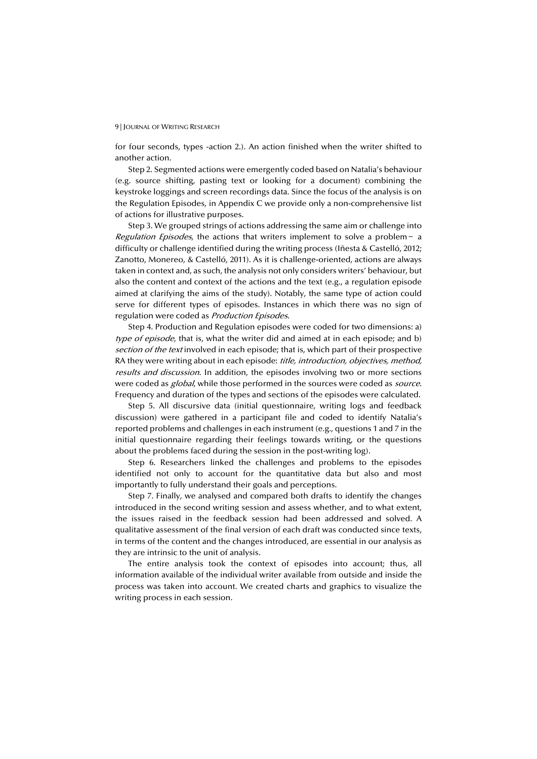for four seconds, types -action 2.). An action finished when the writer shifted to another action.

Step 2. Segmented actions were emergently coded based on Natalia's behaviour (e.g. source shifting, pasting text or looking for a document) combining the keystroke loggings and screen recordings data. Since the focus of the analysis is on the Regulation Episodes, in Appendix C we provide only a non-comprehensive list of actions for illustrative purposes.

Step 3. We grouped strings of actions addressing the same aim or challenge into *Regulation Episodes*, the actions that writers implement to solve a problem – a difficulty or challenge identified during the writing process (Iñesta & Castelló, 2012; Zanotto, Monereo, & Castelló, 2011). As it is challenge-oriented, actions are always taken in context and, as such, the analysis not only considers writers' behaviour, but also the content and context of the actions and the text (e.g., a regulation episode aimed at clarifying the aims of the study). Notably, the same type of action could serve for different types of episodes. Instances in which there was no sign of regulation were coded as Production Episodes.

Step 4. Production and Regulation episodes were coded for two dimensions: a) type of episode, that is, what the writer did and aimed at in each episode; and b) section of the text involved in each episode; that is, which part of their prospective RA they were writing about in each episode: *title, introduction, objectives, method,* results and discussion. In addition, the episodes involving two or more sections were coded as *global*, while those performed in the sources were coded as *source*. Frequency and duration of the types and sections of the episodes were calculated.

Step 5. All discursive data (initial questionnaire, writing logs and feedback discussion) were gathered in a participant file and coded to identify Natalia's reported problems and challenges in each instrument (e.g., questions 1 and 7 in the initial questionnaire regarding their feelings towards writing, or the questions about the problems faced during the session in the post-writing log).

Step 6. Researchers linked the challenges and problems to the episodes identified not only to account for the quantitative data but also and most importantly to fully understand their goals and perceptions.

Step 7. Finally, we analysed and compared both drafts to identify the changes introduced in the second writing session and assess whether, and to what extent, the issues raised in the feedback session had been addressed and solved. A qualitative assessment of the final version of each draft was conducted since texts, in terms of the content and the changes introduced, are essential in our analysis as they are intrinsic to the unit of analysis.

The entire analysis took the context of episodes into account; thus, all information available of the individual writer available from outside and inside the process was taken into account. We created charts and graphics to visualize the writing process in each session.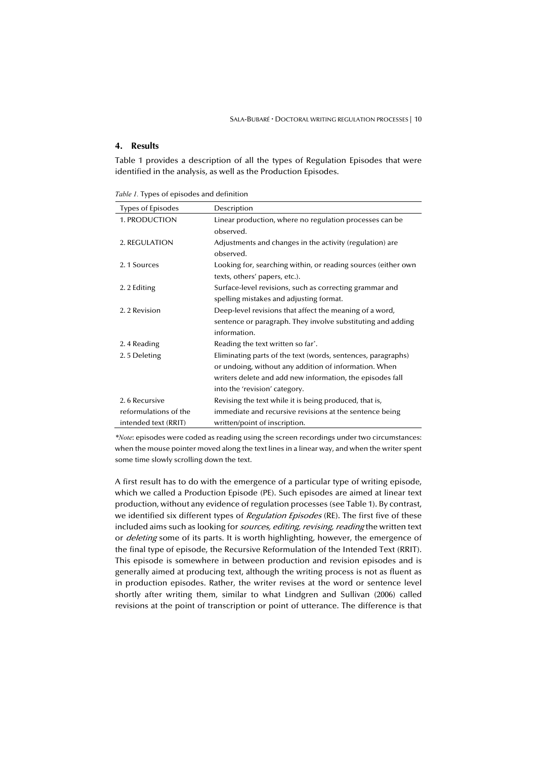## **4. Results**

Table 1 provides a description of all the types of Regulation Episodes that were identified in the analysis, as well as the Production Episodes.

*Table 1.* Types of episodes and definition

| Types of Episodes     | Description                                                   |
|-----------------------|---------------------------------------------------------------|
| 1. PRODUCTION         | Linear production, where no regulation processes can be       |
|                       | observed.                                                     |
| 2. REGULATION         | Adjustments and changes in the activity (regulation) are      |
|                       | observed.                                                     |
| 2.1 Sources           | Looking for, searching within, or reading sources (either own |
|                       | texts, others' papers, etc.).                                 |
| 2. 2 Editing          | Surface-level revisions, such as correcting grammar and       |
|                       | spelling mistakes and adjusting format.                       |
| 2.2 Revision          | Deep-level revisions that affect the meaning of a word,       |
|                       | sentence or paragraph. They involve substituting and adding   |
|                       | information.                                                  |
| 2.4 Reading           | Reading the text written so far <sup>*</sup> .                |
| 2.5 Deleting          | Eliminating parts of the text (words, sentences, paragraphs)  |
|                       | or undoing, without any addition of information. When         |
|                       | writers delete and add new information, the episodes fall     |
|                       | into the 'revision' category.                                 |
| 2.6 Recursive         | Revising the text while it is being produced, that is,        |
| reformulations of the | immediate and recursive revisions at the sentence being       |
| intended text (RRIT)  | written/point of inscription.                                 |

*\*Note*: episodes were coded as reading using the screen recordings under two circumstances: when the mouse pointer moved along the text lines in a linear way, and when the writer spent some time slowly scrolling down the text.

A first result has to do with the emergence of a particular type of writing episode, which we called a Production Episode (PE). Such episodes are aimed at linear text production, without any evidence of regulation processes (see Table 1). By contrast, we identified six different types of Regulation Episodes (RE). The first five of these included aims such as looking for sources, editing, revising, reading the written text or *deleting* some of its parts. It is worth highlighting, however, the emergence of the final type of episode, the Recursive Reformulation of the Intended Text (RRIT). This episode is somewhere in between production and revision episodes and is generally aimed at producing text, although the writing process is not as fluent as in production episodes. Rather, the writer revises at the word or sentence level shortly after writing them, similar to what Lindgren and Sullivan (2006) called revisions at the point of transcription or point of utterance. The difference is that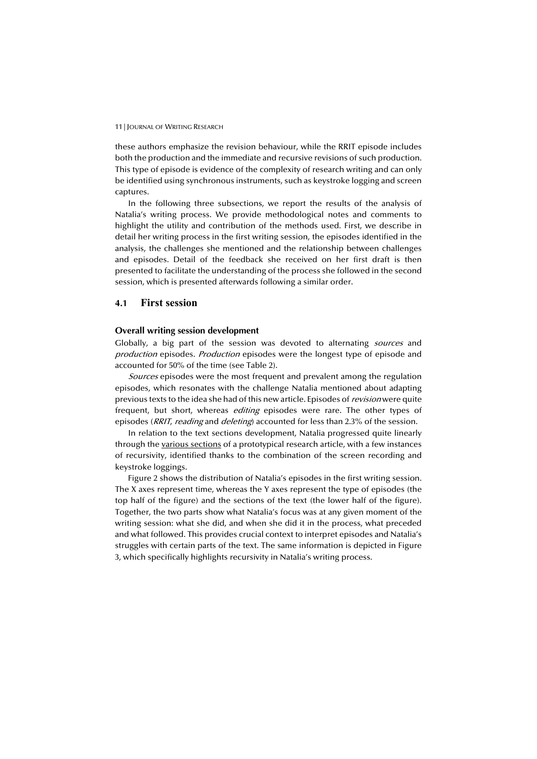these authors emphasize the revision behaviour, while the RRIT episode includes both the production and the immediate and recursive revisions of such production. This type of episode is evidence of the complexity of research writing and can only be identified using synchronous instruments, such as keystroke logging and screen captures.

In the following three subsections, we report the results of the analysis of Natalia's writing process. We provide methodological notes and comments to highlight the utility and contribution of the methods used. First, we describe in detail her writing process in the first writing session, the episodes identified in the analysis, the challenges she mentioned and the relationship between challenges and episodes. Detail of the feedback she received on her first draft is then presented to facilitate the understanding of the process she followed in the second session, which is presented afterwards following a similar order.

### **4.1 First session**

#### **Overall writing session development**

Globally, a big part of the session was devoted to alternating *sources* and production episodes. Production episodes were the longest type of episode and accounted for 50% of the time (see Table 2).

Sources episodes were the most frequent and prevalent among the regulation episodes, which resonates with the challenge Natalia mentioned about adapting previous texts to the idea she had of this new article. Episodes of *revision* were quite frequent, but short, whereas *editing* episodes were rare. The other types of episodes (*RRIT, reading* and *deleting*) accounted for less than 2.3% of the session.

In relation to the text sections development, Natalia progressed quite linearly through the various sections of a prototypical research article, with a few instances of recursivity, identified thanks to the combination of the screen recording and keystroke loggings.

Figure 2 shows the distribution of Natalia's episodes in the first writing session. The X axes represent time, whereas the Y axes represent the type of episodes (the top half of the figure) and the sections of the text (the lower half of the figure). Together, the two parts show what Natalia's focus was at any given moment of the writing session: what she did, and when she did it in the process, what preceded and what followed. This provides crucial context to interpret episodes and Natalia's struggles with certain parts of the text. The same information is depicted in Figure 3, which specifically highlights recursivity in Natalia's writing process.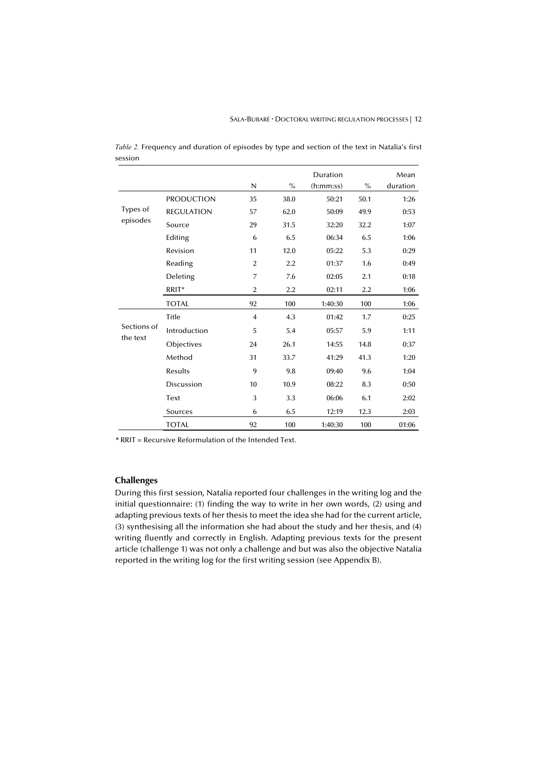|             |                   |                |      | Duration  |      | Mean     |
|-------------|-------------------|----------------|------|-----------|------|----------|
|             |                   | N              | $\%$ | (h:mm:ss) | $\%$ | duration |
|             | <b>PRODUCTION</b> | 35             | 38.0 | 50:21     | 50.1 | 1:26     |
| Types of    | <b>REGULATION</b> | 57             | 62.0 | 50:09     | 49.9 | 0:53     |
| episodes    | Source            | 29             | 31.5 | 32:20     | 32.2 | 1:07     |
|             | Editing           | 6              | 6.5  | 06:34     | 6.5  | 1:06     |
|             | Revision          | 11             | 12.0 | 05:22     | 5.3  | 0:29     |
|             | Reading           | $\overline{2}$ | 2.2  | 01:37     | 1.6  | 0:49     |
|             | Deleting          | 7              | 7.6  | 02:05     | 2.1  | 0:18     |
|             | RRIT*             | $\overline{2}$ | 2.2  | 02:11     | 2.2  | 1:06     |
|             | <b>TOTAL</b>      | 92             | 100  | 1:40:30   | 100  | 1:06     |
|             | Title             | 4              | 4.3  | 01:42     | 1.7  | 0:25     |
| Sections of | Introduction      | 5              | 5.4  | 05:57     | 5.9  | 1:11     |
| the text    | Objectives        | 24             | 26.1 | 14:55     | 14.8 | 0:37     |
|             | Method            | 31             | 33.7 | 41:29     | 41.3 | 1:20     |
|             | Results           | 9              | 9.8  | 09:40     | 9.6  | 1:04     |
|             | Discussion        | 10             | 10.9 | 08:22     | 8.3  | 0:50     |
|             | Text              | 3              | 3.3  | 06:06     | 6.1  | 2:02     |
|             | Sources           | 6              | 6.5  | 12:19     | 12.3 | 2:03     |
|             | <b>TOTAL</b>      | 92             | 100  | 1:40:30   | 100  | 01:06    |

*Table 2.* Frequency and duration of episodes by type and section of the text in Natalia's first session

*\** RRIT = Recursive Reformulation of the Intended Text.

## **Challenges**

During this first session, Natalia reported four challenges in the writing log and the initial questionnaire: (1) finding the way to write in her own words, (2) using and adapting previous texts of her thesis to meet the idea she had for the current article, (3) synthesising all the information she had about the study and her thesis, and (4) writing fluently and correctly in English. Adapting previous texts for the present article (challenge 1) was not only a challenge and but was also the objective Natalia reported in the writing log for the first writing session (see Appendix B).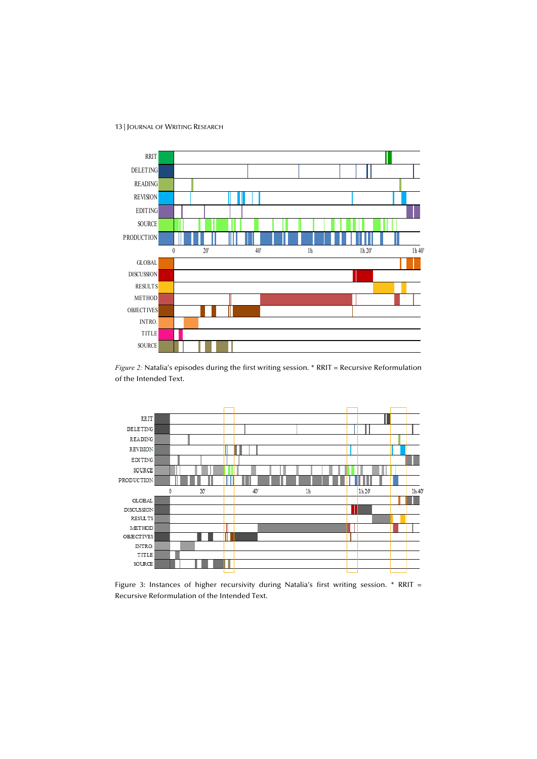# RRIT DELETING READING REVISION EDITING **SOURCE** PRODUCTION



GLOBAL DISCUSSION RESULTS METHOD OBJECTIVES INTRO. TITLE SOURCE



0 20' 40' 1h 1h  $20'$  1h 1h  $20'$  1h 40



Figure 3: Instances of higher recursivity during Natalia's first writing session. \* RRIT = Recursive Reformulation of the Intended Text.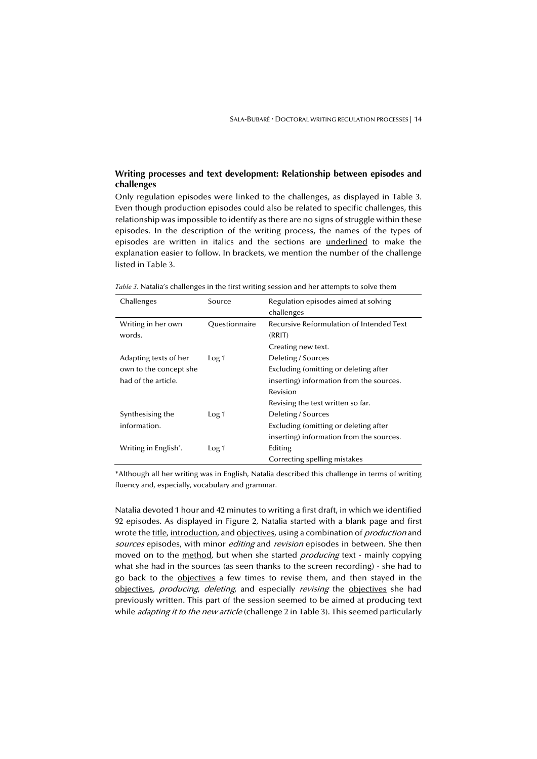## **Writing processes and text development: Relationship between episodes and challenges**

Only regulation episodes were linked to the challenges, as displayed in Table 3. Even though production episodes could also be related to specific challenges, this relationship was impossible to identify as there are no signs of struggle within these episodes. In the description of the writing process, the names of the types of episodes are written in italics and the sections are underlined to make the explanation easier to follow. In brackets, we mention the number of the challenge listed in Table 3.

*Table 3.* Natalia's challenges in the first writing session and her attempts to solve them

| Challenges                        | Source           | Regulation episodes aimed at solving<br>challenges |
|-----------------------------------|------------------|----------------------------------------------------|
| Writing in her own<br>words.      | Questionnaire    | Recursive Reformulation of Intended Text<br>(RRIT) |
|                                   |                  | Creating new text.                                 |
| Adapting texts of her             | Log <sub>1</sub> | Deleting / Sources                                 |
| own to the concept she            |                  | Excluding (omitting or deleting after              |
| had of the article.               |                  | inserting) information from the sources.           |
|                                   |                  | Revision                                           |
|                                   |                  | Revising the text written so far.                  |
| Synthesising the                  | Log <sub>1</sub> | Deleting / Sources                                 |
| information.                      |                  | Excluding (omitting or deleting after              |
|                                   |                  | inserting) information from the sources.           |
| Writing in English <sup>*</sup> . | Log <sub>1</sub> | Editing                                            |
|                                   |                  | Correcting spelling mistakes                       |

\*Although all her writing was in English, Natalia described this challenge in terms of writing fluency and, especially, vocabulary and grammar.

Natalia devoted 1 hour and 42 minutes to writing a first draft, in which we identified 92 episodes. As displayed in Figure 2, Natalia started with a blank page and first wrote the title, introduction, and objectives, using a combination of *production* and sources episodes, with minor *editing* and *revision* episodes in between. She then moved on to the method, but when she started *producing* text - mainly copying what she had in the sources (as seen thanks to the screen recording) - she had to go back to the objectives a few times to revise them, and then stayed in the objectives, *producing*, *deleting*, and especially *revising* the objectives she had previously written. This part of the session seemed to be aimed at producing text while *adapting it to the new article* (challenge 2 in Table 3). This seemed particularly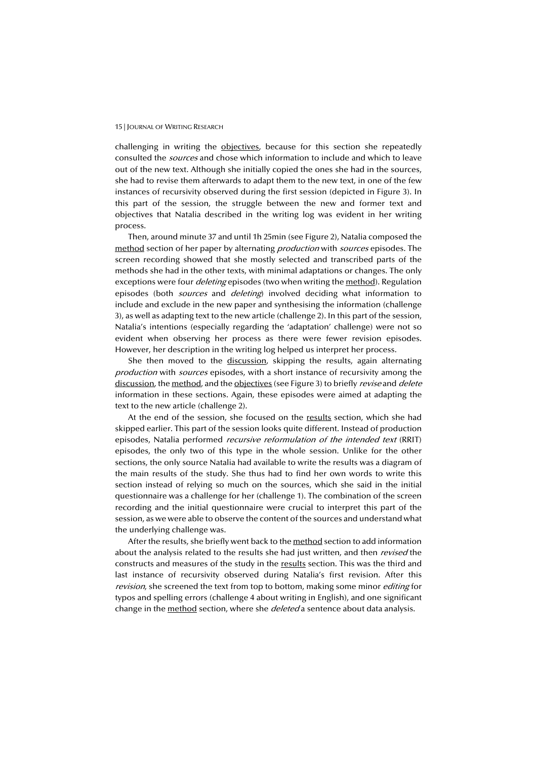challenging in writing the objectives, because for this section she repeatedly consulted the sources and chose which information to include and which to leave out of the new text. Although she initially copied the ones she had in the sources, she had to revise them afterwards to adapt them to the new text, in one of the few instances of recursivity observed during the first session (depicted in Figure 3). In this part of the session, the struggle between the new and former text and objectives that Natalia described in the writing log was evident in her writing process.

Then, around minute 37 and until 1h 25min (see Figure 2), Natalia composed the method section of her paper by alternating *production* with *sources* episodes. The screen recording showed that she mostly selected and transcribed parts of the methods she had in the other texts, with minimal adaptations or changes. The only exceptions were four *deleting* episodes (two when writing the method). Regulation episodes (both *sources* and *deleting*) involved deciding what information to include and exclude in the new paper and synthesising the information (challenge 3), as well as adapting text to the new article (challenge 2). In this part of the session, Natalia's intentions (especially regarding the 'adaptation' challenge) were not so evident when observing her process as there were fewer revision episodes. However, her description in the writing log helped us interpret her process.

She then moved to the discussion, skipping the results, again alternating production with sources episodes, with a short instance of recursivity among the discussion, the method, and the objectives (see Figure 3) to briefly *revise* and *delete* information in these sections. Again, these episodes were aimed at adapting the text to the new article (challenge 2).

At the end of the session, she focused on the results section, which she had skipped earlier. This part of the session looks quite different. Instead of production episodes, Natalia performed *recursive reformulation of the intended text* (RRIT) episodes, the only two of this type in the whole session. Unlike for the other sections, the only source Natalia had available to write the results was a diagram of the main results of the study. She thus had to find her own words to write this section instead of relying so much on the sources, which she said in the initial questionnaire was a challenge for her (challenge 1). The combination of the screen recording and the initial questionnaire were crucial to interpret this part of the session, as we were able to observe the content of the sources and understand what the underlying challenge was.

After the results, she briefly went back to the method section to add information about the analysis related to the results she had just written, and then revised the constructs and measures of the study in the results section. This was the third and last instance of recursivity observed during Natalia's first revision. After this revision, she screened the text from top to bottom, making some minor editing for typos and spelling errors (challenge 4 about writing in English), and one significant change in the method section, where she *deleted* a sentence about data analysis.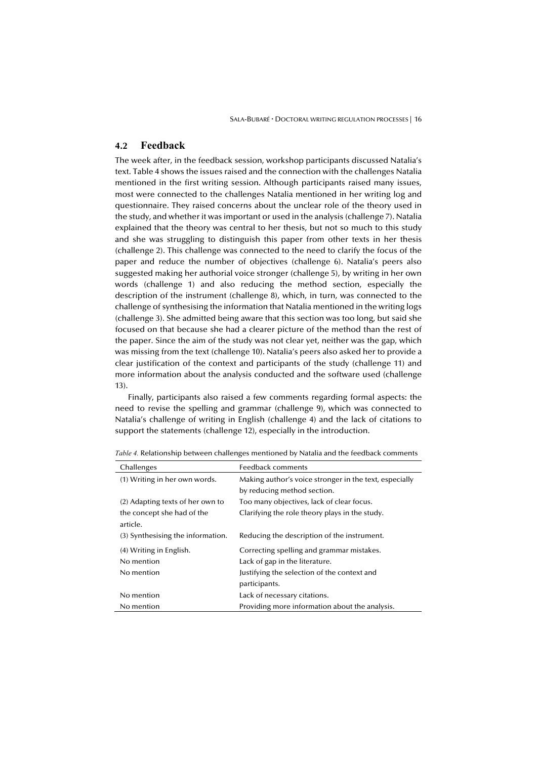## **4.2 Feedback**

The week after, in the feedback session, workshop participants discussed Natalia's text. Table 4 shows the issues raised and the connection with the challenges Natalia mentioned in the first writing session. Although participants raised many issues, most were connected to the challenges Natalia mentioned in her writing log and questionnaire. They raised concerns about the unclear role of the theory used in the study, and whether it was important or used in the analysis (challenge 7). Natalia explained that the theory was central to her thesis, but not so much to this study and she was struggling to distinguish this paper from other texts in her thesis (challenge 2). This challenge was connected to the need to clarify the focus of the paper and reduce the number of objectives (challenge 6). Natalia's peers also suggested making her authorial voice stronger (challenge 5), by writing in her own words (challenge 1) and also reducing the method section, especially the description of the instrument (challenge 8), which, in turn, was connected to the challenge of synthesising the information that Natalia mentioned in the writing logs (challenge 3). She admitted being aware that this section was too long, but said she focused on that because she had a clearer picture of the method than the rest of the paper. Since the aim of the study was not clear yet, neither was the gap, which was missing from the text (challenge 10). Natalia's peers also asked her to provide a clear justification of the context and participants of the study (challenge 11) and more information about the analysis conducted and the software used (challenge 13).

Finally, participants also raised a few comments regarding formal aspects: the need to revise the spelling and grammar (challenge 9), which was connected to Natalia's challenge of writing in English (challenge 4) and the lack of citations to support the statements (challenge 12), especially in the introduction.

| Challenges                        | Feedback comments                                      |
|-----------------------------------|--------------------------------------------------------|
| (1) Writing in her own words.     | Making author's voice stronger in the text, especially |
|                                   | by reducing method section.                            |
| (2) Adapting texts of her own to  | Too many objectives, lack of clear focus.              |
| the concept she had of the        | Clarifying the role theory plays in the study.         |
| article.                          |                                                        |
| (3) Synthesising the information. | Reducing the description of the instrument.            |
| (4) Writing in English.           | Correcting spelling and grammar mistakes.              |
| No mention                        | Lack of gap in the literature.                         |
| No mention                        | Justifying the selection of the context and            |
|                                   | participants.                                          |
| No mention                        | Lack of necessary citations.                           |
| No mention                        | Providing more information about the analysis.         |

*Table 4.* Relationship between challenges mentioned by Natalia and the feedback comments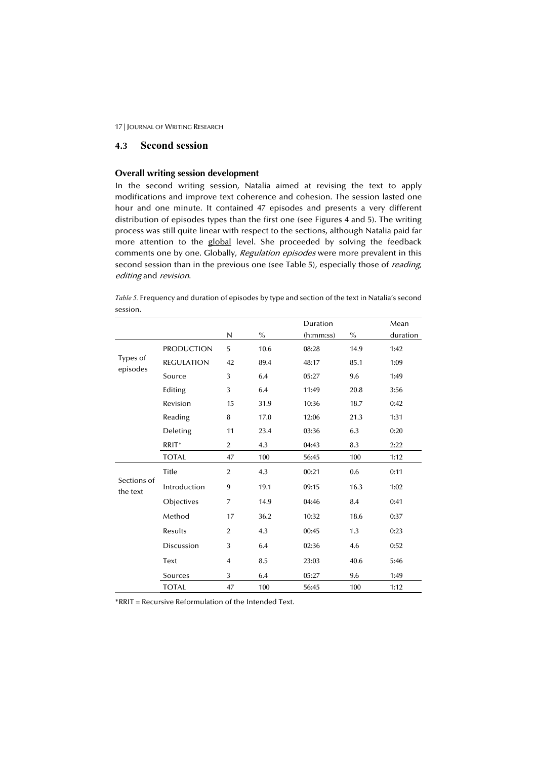## **4.3 Second session**

## **Overall writing session development**

In the second writing session, Natalia aimed at revising the text to apply modifications and improve text coherence and cohesion. The session lasted one hour and one minute. It contained 47 episodes and presents a very different distribution of episodes types than the first one (see Figures 4 and 5). The writing process was still quite linear with respect to the sections, although Natalia paid far more attention to the global level. She proceeded by solving the feedback comments one by one. Globally, Regulation episodes were more prevalent in this second session than in the previous one (see Table 5), especially those of *reading*, editing and revision.

*Table 5.* Frequency and duration of episodes by type and section of the text in Natalia's second session.

|                         |                   |                |      | Duration  |      | Mean     |
|-------------------------|-------------------|----------------|------|-----------|------|----------|
|                         |                   | N              | $\%$ | (h:mm:ss) | $\%$ | duration |
|                         | <b>PRODUCTION</b> | 5              | 10.6 | 08:28     | 14.9 | 1:42     |
| Types of<br>episodes    | <b>REGULATION</b> | 42             | 89.4 | 48:17     | 85.1 | 1:09     |
|                         | Source            | 3              | 6.4  | 05:27     | 9.6  | 1:49     |
|                         | Editing           | 3              | 6.4  | 11:49     | 20.8 | 3:56     |
|                         | Revision          | 15             | 31.9 | 10:36     | 18.7 | 0:42     |
|                         | Reading           | 8              | 17.0 | 12:06     | 21.3 | 1:31     |
|                         | Deleting          | 11             | 23.4 | 03:36     | 6.3  | 0:20     |
|                         | RRIT*             | $\overline{2}$ | 4.3  | 04:43     | 8.3  | 2:22     |
|                         | <b>TOTAL</b>      | 47             | 100  | 56:45     | 100  | 1:12     |
|                         | Title             | $\overline{2}$ | 4.3  | 00:21     | 0.6  | 0:11     |
| Sections of<br>the text | Introduction      | 9              | 19.1 | 09:15     | 16.3 | 1:02     |
|                         | Objectives        | 7              | 14.9 | 04:46     | 8.4  | 0:41     |
|                         | Method            | 17             | 36.2 | 10:32     | 18.6 | 0:37     |
|                         | Results           | $\overline{2}$ | 4.3  | 00:45     | 1.3  | 0:23     |
|                         | <b>Discussion</b> | 3              | 6.4  | 02:36     | 4.6  | 0:52     |
|                         | Text              | $\overline{4}$ | 8.5  | 23:03     | 40.6 | 5:46     |
|                         | Sources           | 3              | 6.4  | 05:27     | 9.6  | 1:49     |
|                         | <b>TOTAL</b>      | 47             | 100  | 56:45     | 100  | 1:12     |

\*RRIT = Recursive Reformulation of the Intended Text.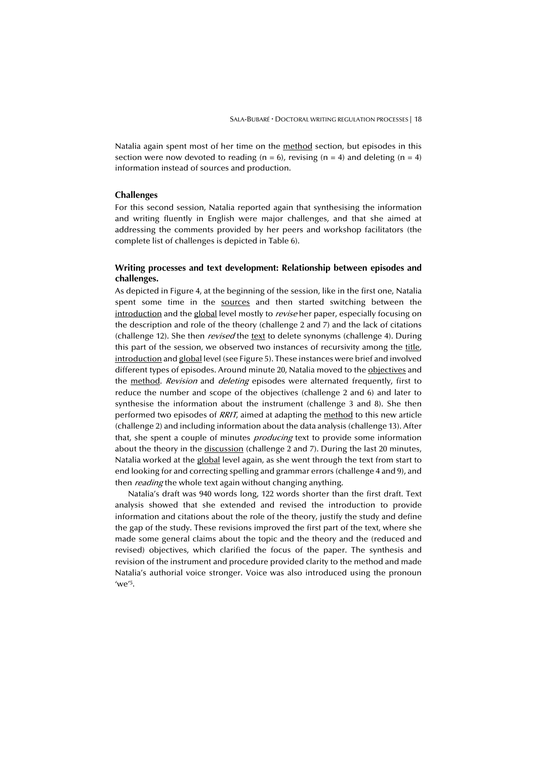Natalia again spent most of her time on the method section, but episodes in this section were now devoted to reading ( $n = 6$ ), revising ( $n = 4$ ) and deleting ( $n = 4$ ) information instead of sources and production.

## **Challenges**

For this second session, Natalia reported again that synthesising the information and writing fluently in English were major challenges, and that she aimed at addressing the comments provided by her peers and workshop facilitators (the complete list of challenges is depicted in Table 6).

### **Writing processes and text development: Relationship between episodes and challenges.**

As depicted in Figure 4, at the beginning of the session, like in the first one, Natalia spent some time in the sources and then started switching between the introduction and the global level mostly to revise her paper, especially focusing on the description and role of the theory (challenge 2 and 7) and the lack of citations (challenge 12). She then revised the text to delete synonyms (challenge 4). During this part of the session, we observed two instances of recursivity among the title, introduction and global level (see Figure 5). These instances were brief and involved different types of episodes. Around minute 20, Natalia moved to the objectives and the method. Revision and deleting episodes were alternated frequently, first to reduce the number and scope of the objectives (challenge 2 and 6) and later to synthesise the information about the instrument (challenge 3 and 8). She then performed two episodes of RRIT, aimed at adapting the method to this new article (challenge 2) and including information about the data analysis (challenge 13). After that, she spent a couple of minutes *producing* text to provide some information about the theory in the discussion (challenge 2 and 7). During the last 20 minutes, Natalia worked at the global level again, as she went through the text from start to end looking for and correcting spelling and grammar errors (challenge 4 and 9), and then *reading* the whole text again without changing anything.

Natalia's draft was 940 words long, 122 words shorter than the first draft. Text analysis showed that she extended and revised the introduction to provide information and citations about the role of the theory, justify the study and define the gap of the study. These revisions improved the first part of the text, where she made some general claims about the topic and the theory and the (reduced and revised) objectives, which clarified the focus of the paper. The synthesis and revision of the instrument and procedure provided clarity to the method and made Natalia's authorial voice stronger. Voice was also introduced using the pronoun  $^{\prime}$ we<sup> $^{\prime}$ 5.</sup>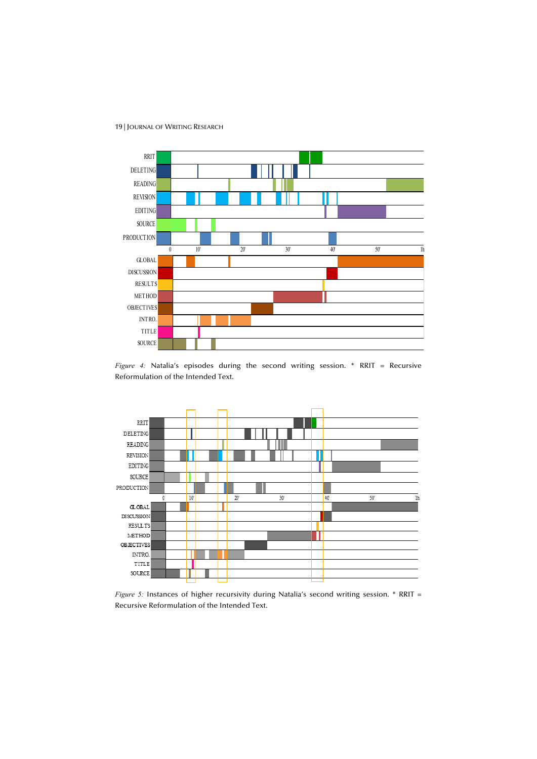19 | JOURNAL OF WRITING RESEARCH



*Figure 4:* Natalia's episodes during the second writing session. \* RRIT = Recursive Reformulation of the Intended Text.



*Figure 5:* Instances of higher recursivity during Natalia's second writing session. \* RRIT = Recursive Reformulation of the Intended Text.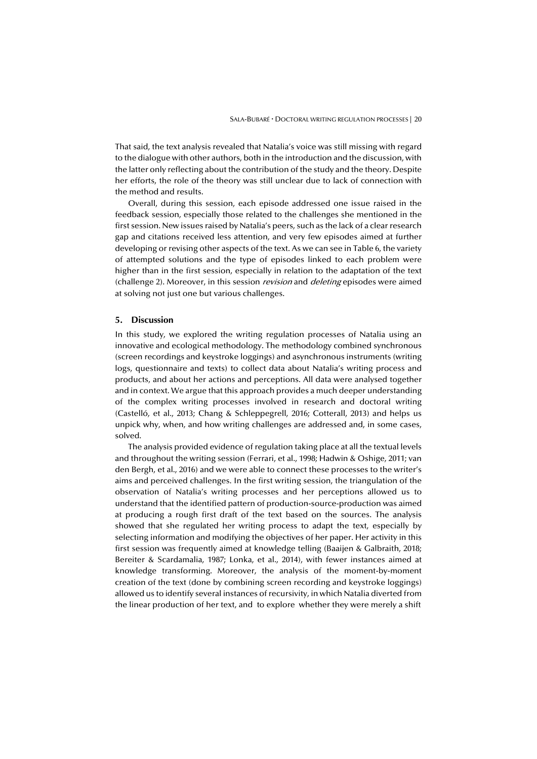That said, the text analysis revealed that Natalia's voice was still missing with regard to the dialogue with other authors, both in the introduction and the discussion, with the latter only reflecting about the contribution of the study and the theory. Despite her efforts, the role of the theory was still unclear due to lack of connection with the method and results.

Overall, during this session, each episode addressed one issue raised in the feedback session, especially those related to the challenges she mentioned in the first session. New issues raised by Natalia's peers, such as the lack of a clear research gap and citations received less attention, and very few episodes aimed at further developing or revising other aspects of the text. As we can see in Table 6, the variety of attempted solutions and the type of episodes linked to each problem were higher than in the first session, especially in relation to the adaptation of the text (challenge 2). Moreover, in this session *revision* and *deleting* episodes were aimed at solving not just one but various challenges.

#### **5. Discussion**

In this study, we explored the writing regulation processes of Natalia using an innovative and ecological methodology. The methodology combined synchronous (screen recordings and keystroke loggings) and asynchronous instruments (writing logs, questionnaire and texts) to collect data about Natalia's writing process and products, and about her actions and perceptions. All data were analysed together and in context. We argue that this approach provides a much deeper understanding of the complex writing processes involved in research and doctoral writing (Castelló, et al., 2013; Chang & Schleppegrell, 2016; Cotterall, 2013) and helps us unpick why, when, and how writing challenges are addressed and, in some cases, solved.

The analysis provided evidence of regulation taking place at all the textual levels and throughout the writing session (Ferrari, et al., 1998; Hadwin & Oshige, 2011; van den Bergh, et al., 2016) and we were able to connect these processes to the writer's aims and perceived challenges. In the first writing session, the triangulation of the observation of Natalia's writing processes and her perceptions allowed us to understand that the identified pattern of production-source-production was aimed at producing a rough first draft of the text based on the sources. The analysis showed that she regulated her writing process to adapt the text, especially by selecting information and modifying the objectives of her paper. Her activity in this first session was frequently aimed at knowledge telling (Baaijen & Galbraith, 2018; Bereiter & Scardamalia, 1987; Lonka, et al., 2014), with fewer instances aimed at knowledge transforming. Moreover, the analysis of the moment-by-moment creation of the text (done by combining screen recording and keystroke loggings) allowed us to identify several instances of recursivity, in which Natalia diverted from the linear production of her text, and to explore whether they were merely a shift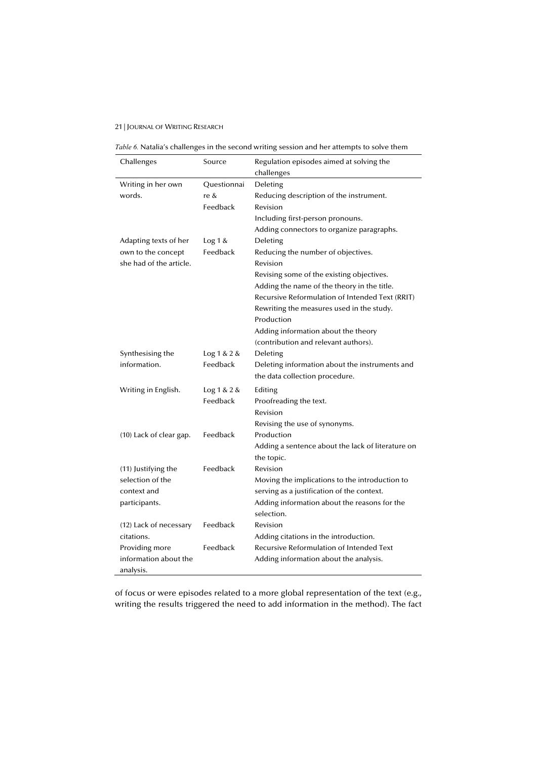|  |  |  | Table 6. Natalia's challenges in the second writing session and her attempts to solve them |
|--|--|--|--------------------------------------------------------------------------------------------|
|  |  |  |                                                                                            |

| Challenges              | Source        | Regulation episodes aimed at solving the          |
|-------------------------|---------------|---------------------------------------------------|
|                         |               | challenges                                        |
| Writing in her own      | Questionnai   | Deleting                                          |
| words.                  | re &          | Reducing description of the instrument.           |
|                         | Feedback      | Revision                                          |
|                         |               | Including first-person pronouns.                  |
|                         |               | Adding connectors to organize paragraphs.         |
| Adapting texts of her   | Log 1 &       | Deleting                                          |
| own to the concept      | Feedback      | Reducing the number of objectives.                |
| she had of the article. |               | Revision                                          |
|                         |               | Revising some of the existing objectives.         |
|                         |               | Adding the name of the theory in the title.       |
|                         |               | Recursive Reformulation of Intended Text (RRIT)   |
|                         |               | Rewriting the measures used in the study.         |
|                         |               | Production                                        |
|                         |               | Adding information about the theory               |
|                         |               | (contribution and relevant authors).              |
| Synthesising the        | Log 1 & 2 & 8 | Deleting                                          |
| information.            | Feedback      | Deleting information about the instruments and    |
|                         |               | the data collection procedure.                    |
| Writing in English.     | Log 1 & 2 & 8 | Editing                                           |
|                         | Feedback      | Proofreading the text.                            |
|                         |               | Revision                                          |
|                         |               | Revising the use of synonyms.                     |
| (10) Lack of clear gap. | Feedback      | Production                                        |
|                         |               | Adding a sentence about the lack of literature on |
|                         |               | the topic.                                        |
| (11) Justifying the     | Feedback      | Revision                                          |
| selection of the        |               | Moving the implications to the introduction to    |
| context and             |               | serving as a justification of the context.        |
| participants.           |               | Adding information about the reasons for the      |
|                         |               | selection.                                        |
| (12) Lack of necessary  | Feedback      | Revision                                          |
| citations.              |               | Adding citations in the introduction.             |
| Providing more          | Feedback      | Recursive Reformulation of Intended Text          |
| information about the   |               | Adding information about the analysis.            |
| analysis.               |               |                                                   |

of focus or were episodes related to a more global representation of the text (e.g., writing the results triggered the need to add information in the method). The fact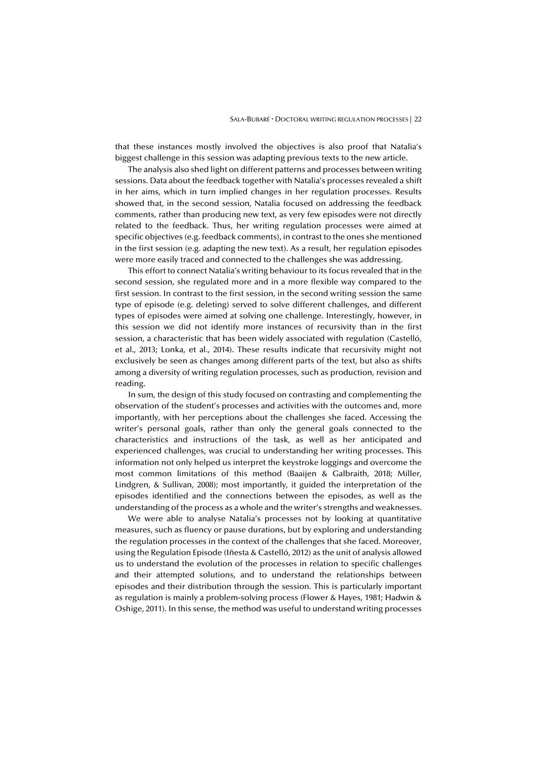that these instances mostly involved the objectives is also proof that Natalia's biggest challenge in this session was adapting previous texts to the new article.

The analysis also shed light on different patterns and processes between writing sessions. Data about the feedback together with Natalia's processes revealed a shift in her aims, which in turn implied changes in her regulation processes. Results showed that, in the second session, Natalia focused on addressing the feedback comments, rather than producing new text, as very few episodes were not directly related to the feedback. Thus, her writing regulation processes were aimed at specific objectives (e.g. feedback comments), in contrast to the ones she mentioned in the first session (e.g. adapting the new text). As a result, her regulation episodes were more easily traced and connected to the challenges she was addressing.

This effort to connect Natalia's writing behaviour to its focus revealed that in the second session, she regulated more and in a more flexible way compared to the first session. In contrast to the first session, in the second writing session the same type of episode (e.g. deleting) served to solve different challenges, and different types of episodes were aimed at solving one challenge. Interestingly, however, in this session we did not identify more instances of recursivity than in the first session, a characteristic that has been widely associated with regulation (Castelló, et al., 2013; Lonka, et al., 2014). These results indicate that recursivity might not exclusively be seen as changes among different parts of the text, but also as shifts among a diversity of writing regulation processes, such as production, revision and reading.

In sum, the design of this study focused on contrasting and complementing the observation of the student's processes and activities with the outcomes and, more importantly, with her perceptions about the challenges she faced. Accessing the writer's personal goals, rather than only the general goals connected to the characteristics and instructions of the task, as well as her anticipated and experienced challenges, was crucial to understanding her writing processes. This information not only helped us interpret the keystroke loggings and overcome the most common limitations of this method (Baaijen & Galbraith, 2018; Miller, Lindgren, & Sullivan, 2008); most importantly, it guided the interpretation of the episodes identified and the connections between the episodes, as well as the understanding of the process as a whole and the writer's strengths and weaknesses.

We were able to analyse Natalia's processes not by looking at quantitative measures, such as fluency or pause durations, but by exploring and understanding the regulation processes in the context of the challenges that she faced. Moreover, using the Regulation Episode (Iñesta & Castelló, 2012) as the unit of analysis allowed us to understand the evolution of the processes in relation to specific challenges and their attempted solutions, and to understand the relationships between episodes and their distribution through the session. This is particularly important as regulation is mainly a problem-solving process (Flower & Hayes, 1981; Hadwin & Oshige, 2011). In this sense, the method was useful to understand writing processes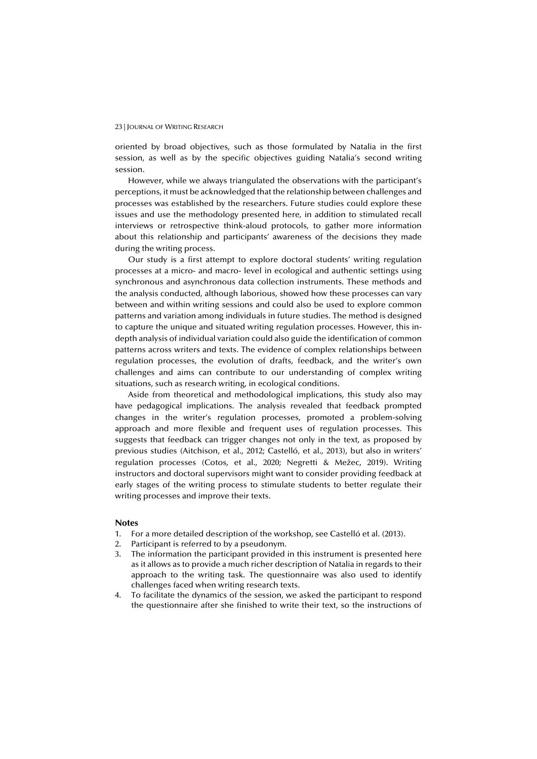oriented by broad objectives, such as those formulated by Natalia in the first session, as well as by the specific objectives guiding Natalia's second writing session.

However, while we always triangulated the observations with the participant's perceptions, it must be acknowledged that the relationship between challenges and processes was established by the researchers. Future studies could explore these issues and use the methodology presented here, in addition to stimulated recall interviews or retrospective think-aloud protocols, to gather more information about this relationship and participants' awareness of the decisions they made during the writing process.

Our study is a first attempt to explore doctoral students' writing regulation processes at a micro- and macro- level in ecological and authentic settings using synchronous and asynchronous data collection instruments. These methods and the analysis conducted, although laborious, showed how these processes can vary between and within writing sessions and could also be used to explore common patterns and variation among individuals in future studies. The method is designed to capture the unique and situated writing regulation processes. However, this indepth analysis of individual variation could also guide the identification of common patterns across writers and texts. The evidence of complex relationships between regulation processes, the evolution of drafts, feedback, and the writer's own challenges and aims can contribute to our understanding of complex writing situations, such as research writing, in ecological conditions.

Aside from theoretical and methodological implications, this study also may have pedagogical implications. The analysis revealed that feedback prompted changes in the writer's regulation processes, promoted a problem-solving approach and more flexible and frequent uses of regulation processes. This suggests that feedback can trigger changes not only in the text, as proposed by previous studies (Aitchison, et al., 2012; Castelló, et al., 2013), but also in writers' regulation processes (Cotos, et al., 2020; Negretti & Mežec, 2019). Writing instructors and doctoral supervisors might want to consider providing feedback at early stages of the writing process to stimulate students to better regulate their writing processes and improve their texts.

#### **Notes**

- 1. For a more detailed description of the workshop, see Castelló et al. (2013).
- 2. Participant is referred to by a pseudonym.
- 3. The information the participant provided in this instrument is presented here as it allows as to provide a much richer description of Natalia in regards to their approach to the writing task. The questionnaire was also used to identify challenges faced when writing research texts.
- 4. To facilitate the dynamics of the session, we asked the participant to respond the questionnaire after she finished to write their text, so the instructions of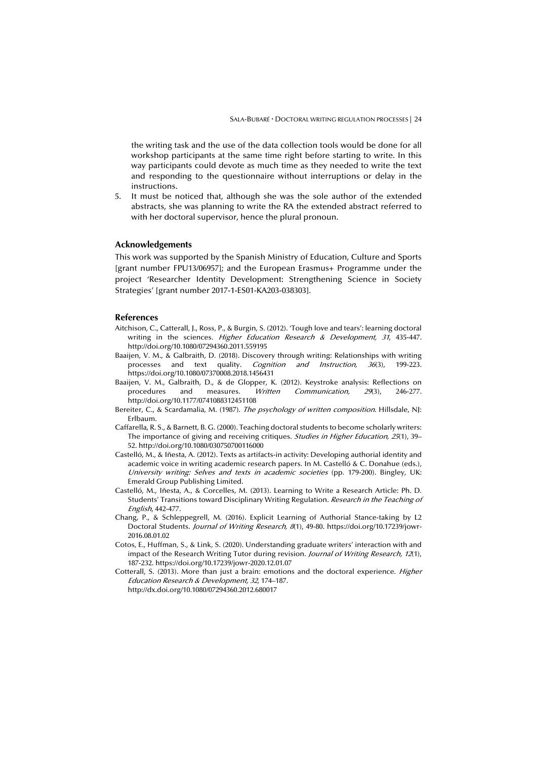the writing task and the use of the data collection tools would be done for all workshop participants at the same time right before starting to write. In this way participants could devote as much time as they needed to write the text and responding to the questionnaire without interruptions or delay in the instructions.

5. It must be noticed that, although she was the sole author of the extended abstracts, she was planning to write the RA the extended abstract referred to with her doctoral supervisor, hence the plural pronoun.

#### **Acknowledgements**

This work was supported by the Spanish Ministry of Education, Culture and Sports [grant number FPU13/06957]; and the European Erasmus+ Programme under the project 'Researcher Identity Development: Strengthening Science in Society Strategies' [grant number 2017-1-ES01-KA203-038303].

#### **References**

- Aitchison, C., Catterall, J., Ross, P., & Burgin, S. (2012). 'Tough love and tears': learning doctoral writing in the sciences. Higher Education Research & Development, 31, 435-447. http://doi.org/10.1080/07294360.2011.559195
- Baaijen, V. M., & Galbraith, D. (2018). Discovery through writing: Relationships with writing processes and text quality. *Cognition and Instruction, 36*(3), 199-223. https://doi.org/10.1080/07370008.2018.1456431
- Baaijen, V. M., Galbraith, D., & de Glopper, K. (2012). Keystroke analysis: Reflections on procedures and measures. Written Communication, 29(3), 246-277. http://doi.org/10.1177/0741088312451108
- Bereiter, C., & Scardamalia, M. (1987). The psychology of written composition. Hillsdale, NJ: Erlbaum.
- Caffarella, R. S., & Barnett, B. G. (2000). Teaching doctoral students to become scholarly writers: The importance of giving and receiving critiques. Studies in Higher Education, 25(1), 39-52. http://doi.org/10.1080/030750700116000
- Castelló, M., & Iñesta, A. (2012). Texts as artifacts-in activity: Developing authorial identity and academic voice in writing academic research papers. In M. Castelló & C. Donahue (eds.), University writing: Selves and texts in academic societies (pp. 179-200). Bingley, UK: Emerald Group Publishing Limited.
- Castelló, M., Iñesta, A., & Corcelles, M. (2013). Learning to Write a Research Article: Ph. D. Students' Transitions toward Disciplinary Writing Regulation. Research in the Teaching of English, 442-477.
- Chang, P., & Schleppegrell, M. (2016). Explicit Learning of Authorial Stance-taking by L2 Doctoral Students. Journal of Writing Research, 8(1), 49-80. https://doi.org/10.17239/jowr-2016.08.01.02
- Cotos, E., Huffman, S., & Link, S. (2020). Understanding graduate writers' interaction with and impact of the Research Writing Tutor during revision. Journal of Writing Research, 12(1), 187-232. https://doi.org/10.17239/jowr-2020.12.01.07
- Cotterall, S. (2013). More than just a brain: emotions and the doctoral experience. *Higher* Education Research & Development, 32, 174–187. http://dx.doi.org/10.1080/07294360.2012.680017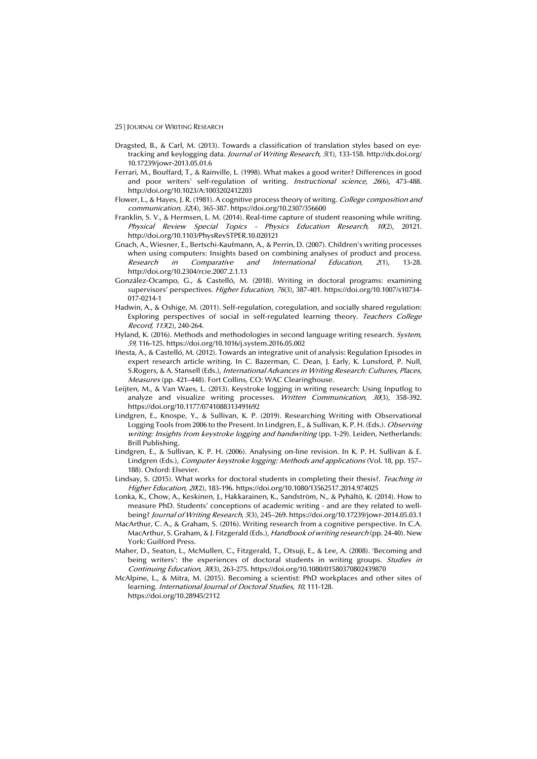- Dragsted, B., & Carl, M. (2013). Towards a classification of translation styles based on eyetracking and keylogging data. *Journal of Writing Research*, 5(1), 133-158. http://dx.doi.org/ 10.17239/jowr-2013.05.01.6
- Ferrari, M., Bouffard, T., & Rainville, L. (1998). What makes a good writer? Differences in good and poor writers' self-regulation of writing. Instructional science, 26(6), 473-488. http://doi.org/10.1023/A:1003202412203
- Flower, L., & Hayes, J. R. (1981). A cognitive process theory of writing. College composition and communication, 32(4), 365-387. https://doi.org/10.2307/356600
- Franklin, S. V., & Hermsen, L. M. (2014). Real-time capture of student reasoning while writing. Physical Review Special Topics - Physics Education Research, 10(2), 20121. http://doi.org/10.1103/PhysRevSTPER.10.020121
- Gnach, A., Wiesner, E., Bertschi-Kaufmann, A., & Perrin, D. (2007). Children's writing processes when using computers: Insights based on combining analyses of product and process. Research in Comparative and International Education, 2(1), 13-28. http://doi.org/10.2304/rcie.2007.2.1.13
- González-Ocampo, G., & Castelló, M. (2018). Writing in doctoral programs: examining supervisors' perspectives. Higher Education, 76(3), 387-401. https://doi.org/10.1007/s10734- 017-0214-1
- Hadwin, A., & Oshige, M. (2011). Self-regulation, coregulation, and socially shared regulation: Exploring perspectives of social in self-regulated learning theory. Teachers College Record, 113(2), 240-264.
- Hyland, K. (2016). Methods and methodologies in second language writing research. System, <sup>59</sup>, 116-125. https://doi.org/10.1016/j.system.2016.05.002
- Iñesta, A., & Castelló, M. (2012). Towards an integrative unit of analysis: Regulation Episodes in expert research article writing. In C. Bazerman, C. Dean, J. Early, K. Lunsford, P. Null, S.Rogers, & A. Stansell (Eds.), International Advances in Writing Research: Cultures, Places, Measures (pp. 421–448). Fort Collins, CO: WAC Clearinghouse.
- Leijten, M., & Van Waes, L. (2013). Keystroke logging in writing research: Using Inputlog to analyze and visualize writing processes. Written Communication,  $30(3)$ ,  $358-392$ . https://doi.org/10.1177/0741088313491692
- Lindgren, E., Knospe, Y., & Sullivan, K. P. (2019). Researching Writing with Observational Logging Tools from 2006 to the Present. In Lindgren, E., & Sullivan, K. P. H. (Eds.). Observing writing: Insights from keystroke logging and handwriting (pp. 1-29). Leiden, Netherlands: Brill Publishing.
- Lindgren, E., & Sullivan, K. P. H. (2006). Analysing on-line revision. In K. P. H. Sullivan & E. Lindgren (Eds.), Computer keystroke logging: Methods and applications (Vol. 18, pp. 157– 188). Oxford: Elsevier.
- Lindsay, S. (2015). What works for doctoral students in completing their thesis?. Teaching in Higher Education, 20(2), 183-196. https://doi.org/10.1080/13562517.2014.974025
- Lonka, K., Chow, A., Keskinen, J., Hakkarainen, K., Sandström, N., & Pyhältö, K. (2014). How to measure PhD. Students' conceptions of academic writing - and are they related to wellbeing? Journal of Writing Research, 5(3), 245–269. https://doi.org/10.17239/jowr-2014.05.03.1
- MacArthur, C. A., & Graham, S. (2016). Writing research from a cognitive perspective. In C.A. MacArthur, S. Graham, & J. Fitzgerald (Eds.), Handbook of writing research (pp. 24-40). New York: Guilford Press.
- Maher, D., Seaton, L., McMullen, C., Fitzgerald, T., Otsuji, E., & Lee, A. (2008). 'Becoming and being writers': the experiences of doctoral students in writing groups. Studies in Continuing Education, 30(3), 263-275. https://doi.org/10.1080/01580370802439870
- McAlpine, L., & Mitra, M. (2015). Becoming a scientist: PhD workplaces and other sites of learning. International Journal of Doctoral Studies, 10, 111-128. https://doi.org/10.28945/2112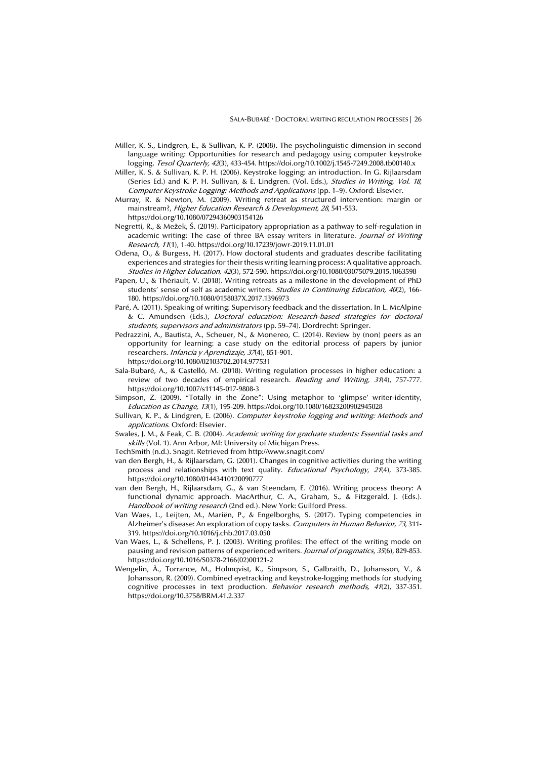- Miller, K. S., Lindgren, E., & Sullivan, K. P. (2008). The psycholinguistic dimension in second language writing: Opportunities for research and pedagogy using computer keystroke logging. Tesol Quarterly, 42(3), 433-454. https://doi.org/10.1002/j.1545-7249.2008.tb00140.x
- Miller, K. S. & Sullivan, K. P. H. (2006). Keystroke logging: an introduction. In G. Rijlaarsdam (Series Ed.) and K. P. H. Sullivan, & E. Lindgren. (Vol. Eds.), Studies in Writing, Vol. 18, Computer Keystroke Logging: Methods and Applications (pp. 1–9). Oxford: Elsevier.
- Murray, R. & Newton, M. (2009). Writing retreat as structured intervention: margin or mainstream?, Higher Education Research & Development, 28, 541-553. https://doi.org/10.1080/07294360903154126
- Negretti, R., & Mežek, Š. (2019). Participatory appropriation as a pathway to self-regulation in academic writing: The case of three BA essay writers in literature. *Journal of Writing* Research, 11(1), 1-40. https://doi.org/10.17239/jowr-2019.11.01.01
- Odena, O., & Burgess, H. (2017). How doctoral students and graduates describe facilitating experiences and strategies for their thesis writing learning process: A qualitative approach. Studies in Higher Education, 42(3), 572-590. https://doi.org/10.1080/03075079.2015.1063598
- Papen, U., & Thériault, V. (2018). Writing retreats as a milestone in the development of PhD students' sense of self as academic writers. Studies in Continuing Education, 40(2), 166-180. https://doi.org/10.1080/0158037X.2017.1396973
- Paré, A. (2011). Speaking of writing: Supervisory feedback and the dissertation. In L. McAlpine & C. Amundsen (Eds.), Doctoral education: Research-based strategies for doctoral students, supervisors and administrators (pp. 59–74). Dordrecht: Springer.
- Pedrazzini, A., Bautista, A., Scheuer, N., & Monereo, C. (2014). Review by (non) peers as an opportunity for learning: a case study on the editorial process of papers by junior researchers. Infancia y Aprendizaje, 37(4), 851-901.
- https://doi.org/10.1080/02103702.2014.977531
- Sala-Bubaré, A., & Castelló, M. (2018). Writing regulation processes in higher education: a review of two decades of empirical research. Reading and Writing, 31(4), 757-777. https://doi.org/10.1007/s11145-017-9808-3
- Simpson, Z. (2009). "Totally in the Zone": Using metaphor to 'glimpse' writer-identity, Education as Change, 13(1), 195-209. https://doi.org/10.1080/16823200902945028
- Sullivan, K. P., & Lindgren, E. (2006). Computer keystroke logging and writing: Methods and applications. Oxford: Elsevier.
- Swales, J. M., & Feak, C. B. (2004). Academic writing for graduate students: Essential tasks and skills (Vol. 1). Ann Arbor, MI: University of Michigan Press.
- TechSmith (n.d.). Snagit. Retrieved from http://www.snagit.com/
- van den Bergh, H., & Rijlaarsdam, G. (2001). Changes in cognitive activities during the writing process and relationships with text quality. Educational Psychology, 21(4), 373-385. https://doi.org/10.1080/01443410120090777
- van den Bergh, H., Rijlaarsdam, G., & van Steendam, E. (2016). Writing process theory: A functional dynamic approach. MacArthur, C. A., Graham, S., & Fitzgerald, J. (Eds.). Handbook of writing research (2nd ed.). New York: Guilford Press.
- Van Waes, L., Leijten, M., Mariën, P., & Engelborghs, S. (2017). Typing competencies in Alzheimer's disease: An exploration of copy tasks. Computers in Human Behavior, 73, 311-319. https://doi.org/10.1016/j.chb.2017.03.050
- Van Waes, L., & Schellens, P. J. (2003). Writing profiles: The effect of the writing mode on pausing and revision patterns of experienced writers. Journal of pragmatics, 35(6), 829-853. https://doi.org/10.1016/S0378-2166(02)00121-2
- Wengelin, Å., Torrance, M., Holmqvist, K., Simpson, S., Galbraith, D., Johansson, V., & Johansson, R. (2009). Combined eyetracking and keystroke-logging methods for studying cognitive processes in text production. Behavior research methods, 41(2), 337-351. https://doi.org/10.3758/BRM.41.2.337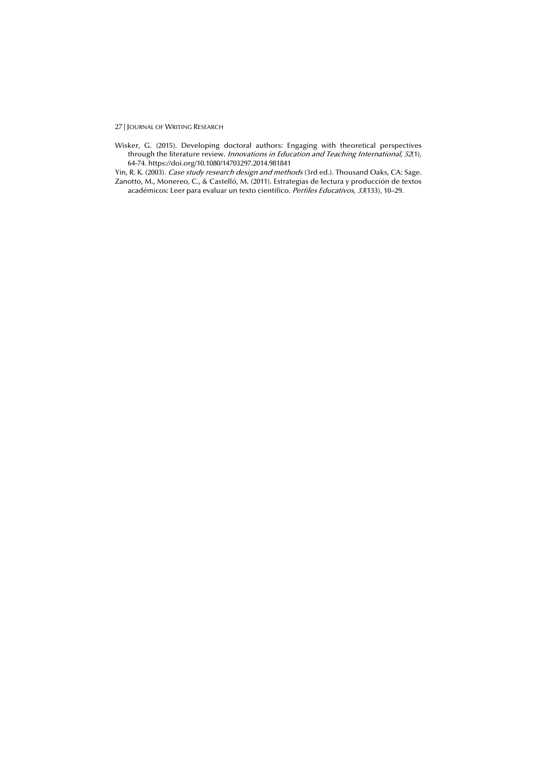Wisker, G. (2015). Developing doctoral authors: Engaging with theoretical perspectives through the literature review. Innovations in Education and Teaching International, 52(1), 64-74. https://doi.org/10.1080/14703297.2014.981841

Yin, R. K. (2003). Case study research design and methods (3rd ed.). Thousand Oaks, CA: Sage. Zanotto, M., Monereo, C., & Castelló, M. (2011). Estrategias de lectura y producción de textos académicos: Leer para evaluar un texto científico. Perfiles Educativos, 33(133), 10–29.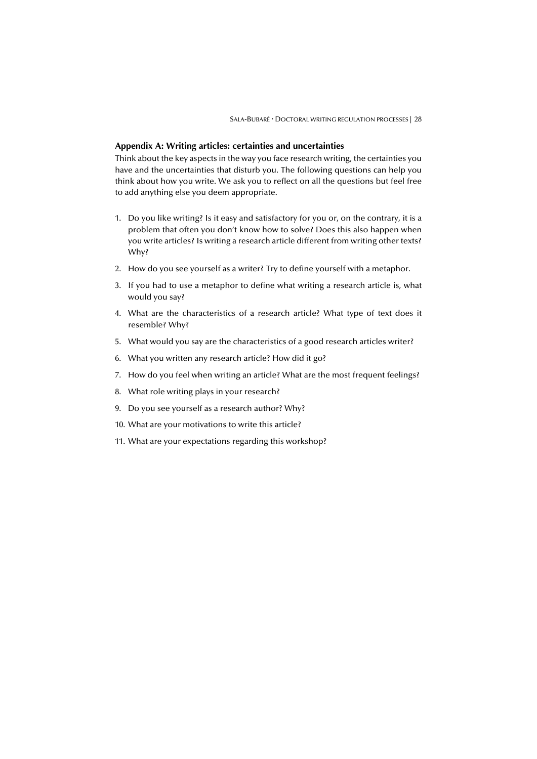#### **Appendix A: Writing articles: certainties and uncertainties**

Think about the key aspects in the way you face research writing, the certainties you have and the uncertainties that disturb you. The following questions can help you think about how you write. We ask you to reflect on all the questions but feel free to add anything else you deem appropriate.

- 1. Do you like writing? Is it easy and satisfactory for you or, on the contrary, it is a problem that often you don't know how to solve? Does this also happen when you write articles? Is writing a research article different from writing other texts? Why?
- 2. How do you see yourself as a writer? Try to define yourself with a metaphor.
- 3. If you had to use a metaphor to define what writing a research article is, what would you say?
- 4. What are the characteristics of a research article? What type of text does it resemble? Why?
- 5. What would you say are the characteristics of a good research articles writer?
- 6. What you written any research article? How did it go?
- 7. How do you feel when writing an article? What are the most frequent feelings?
- 8. What role writing plays in your research?
- 9. Do you see yourself as a research author? Why?
- 10. What are your motivations to write this article?
- 11. What are your expectations regarding this workshop?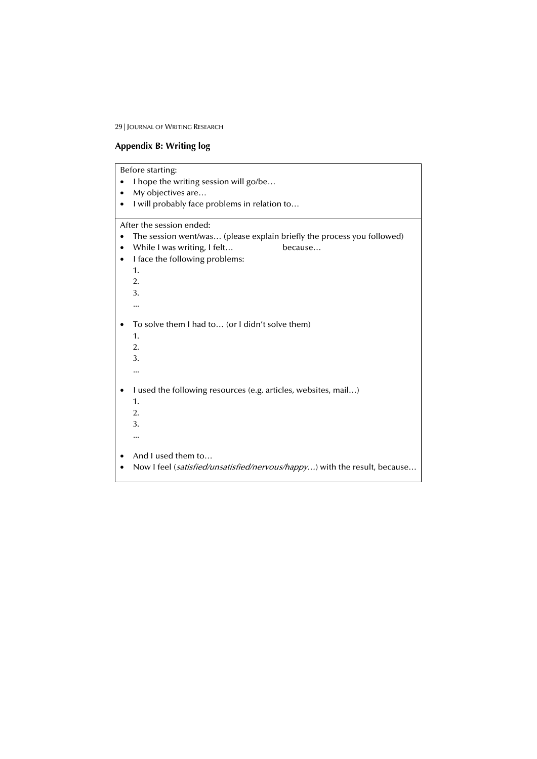## **Appendix B: Writing log**

Before starting:

- I hope the writing session will go/be…
- My objectives are...
- I will probably face problems in relation to…

After the session ended:

- The session went/was… (please explain briefly the process you followed)
- While I was writing, I felt... because...
- I face the following problems:

1. 2. 3. ... • To solve them I had to… (or I didn't solve them) 1. 2. 3. ... • I used the following resources (e.g. articles, websites, mail…) 1. 2. 3. ... • And I used them to… • Now I feel (satisfied/unsatisfied/nervous/happy...) with the result, because...